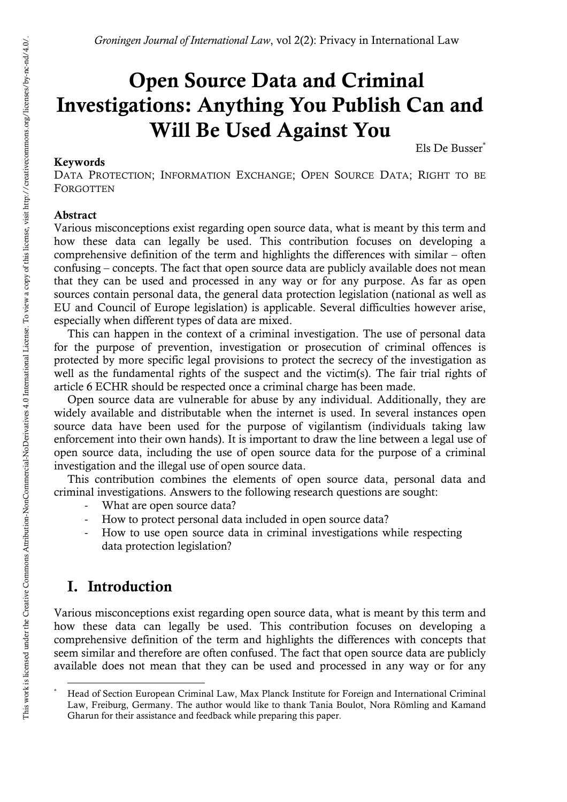# **Open Source Data and Criminal Investigations: Anything You Publish Can and Will Be Used Against You**

#### **Keywords**

Els De Busser\*

DATA PROTECTION; INFORMATION EXCHANGE; OPEN SOURCE DATA; RIGHT TO BE **FORGOTTEN** 

### **Abstract**

Various misconceptions exist regarding open source data, what is meant by this term and how these data can legally be used. This contribution focuses on developing a comprehensive definition of the term and highlights the differences with similar – often confusing – concepts. The fact that open source data are publicly available does not mean that they can be used and processed in any way or for any purpose. As far as open sources contain personal data, the general data protection legislation (national as well as EU and Council of Europe legislation) is applicable. Several difficulties however arise, especially when different types of data are mixed.

This can happen in the context of a criminal investigation. The use of personal data for the purpose of prevention, investigation or prosecution of criminal offences is protected by more specific legal provisions to protect the secrecy of the investigation as well as the fundamental rights of the suspect and the victim(s). The fair trial rights of article 6 ECHR should be respected once a criminal charge has been made.

Open source data are vulnerable for abuse by any individual. Additionally, they are widely available and distributable when the internet is used. In several instances open source data have been used for the purpose of vigilantism (individuals taking law enforcement into their own hands). It is important to draw the line between a legal use of open source data, including the use of open source data for the purpose of a criminal investigation and the illegal use of open source data.

This contribution combines the elements of open source data, personal data and criminal investigations. Answers to the following research questions are sought:

- What are open source data?
- How to protect personal data included in open source data?
- How to use open source data in criminal investigations while respecting data protection legislation?

# **I. Introduction**

l

Various misconceptions exist regarding open source data, what is meant by this term and how these data can legally be used. This contribution focuses on developing a comprehensive definition of the term and highlights the differences with concepts that seem similar and therefore are often confused. The fact that open source data are publicly available does not mean that they can be used and processed in any way or for any

<sup>\*</sup> Head of Section European Criminal Law, Max Planck Institute for Foreign and International Criminal Law, Freiburg, Germany. The author would like to thank Tania Boulot, Nora Römling and Kamand Gharun for their assistance and feedback while preparing this paper.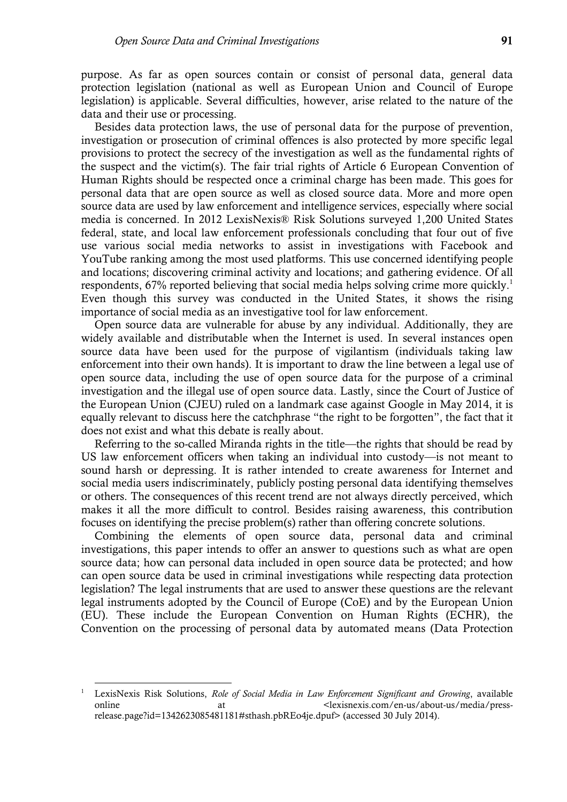purpose. As far as open sources contain or consist of personal data, general data protection legislation (national as well as European Union and Council of Europe legislation) is applicable. Several difficulties, however, arise related to the nature of the data and their use or processing.

Besides data protection laws, the use of personal data for the purpose of prevention, investigation or prosecution of criminal offences is also protected by more specific legal provisions to protect the secrecy of the investigation as well as the fundamental rights of the suspect and the victim(s). The fair trial rights of Article 6 European Convention of Human Rights should be respected once a criminal charge has been made. This goes for personal data that are open source as well as closed source data. More and more open source data are used by law enforcement and intelligence services, especially where social media is concerned. In 2012 LexisNexis® Risk Solutions surveyed 1,200 United States federal, state, and local law enforcement professionals concluding that four out of five use various social media networks to assist in investigations with Facebook and YouTube ranking among the most used platforms. This use concerned identifying people and locations; discovering criminal activity and locations; and gathering evidence. Of all respondents, 67% reported believing that social media helps solving crime more quickly.<sup>1</sup> Even though this survey was conducted in the United States, it shows the rising importance of social media as an investigative tool for law enforcement.

Open source data are vulnerable for abuse by any individual. Additionally, they are widely available and distributable when the Internet is used. In several instances open source data have been used for the purpose of vigilantism (individuals taking law enforcement into their own hands). It is important to draw the line between a legal use of open source data, including the use of open source data for the purpose of a criminal investigation and the illegal use of open source data. Lastly, since the Court of Justice of the European Union (CJEU) ruled on a landmark case against Google in May 2014, it is equally relevant to discuss here the catchphrase "the right to be forgotten", the fact that it does not exist and what this debate is really about.

Referring to the so-called Miranda rights in the title—the rights that should be read by US law enforcement officers when taking an individual into custody—is not meant to sound harsh or depressing. It is rather intended to create awareness for Internet and social media users indiscriminately, publicly posting personal data identifying themselves or others. The consequences of this recent trend are not always directly perceived, which makes it all the more difficult to control. Besides raising awareness, this contribution focuses on identifying the precise problem(s) rather than offering concrete solutions.

Combining the elements of open source data, personal data and criminal investigations, this paper intends to offer an answer to questions such as what are open source data; how can personal data included in open source data be protected; and how can open source data be used in criminal investigations while respecting data protection legislation? The legal instruments that are used to answer these questions are the relevant legal instruments adopted by the Council of Europe (CoE) and by the European Union (EU). These include the European Convention on Human Rights (ECHR), the Convention on the processing of personal data by automated means (Data Protection

<sup>1</sup> LexisNexis Risk Solutions, *Role of Social Media in Law Enforcement Significant and Growing*, available online at at  $\alpha$  at  $\alpha$  at  $\alpha$  at  $\alpha$  at  $\alpha$  at  $\alpha$  at  $\alpha$  at  $\alpha$  at  $\alpha$  at  $\alpha$  at  $\alpha$  at  $\alpha$  at  $\alpha$  at  $\alpha$  at  $\alpha$  at  $\alpha$  at  $\alpha$  at  $\alpha$  at  $\alpha$  at  $\alpha$  at  $\alpha$  at  $\alpha$  at  $\alpha$  at  $\alpha$  at  $\alpha$  at  $\alpha$  at release.page?id=1342623085481181#sthash.pbREo4je.dpuf> (accessed 30 July 2014).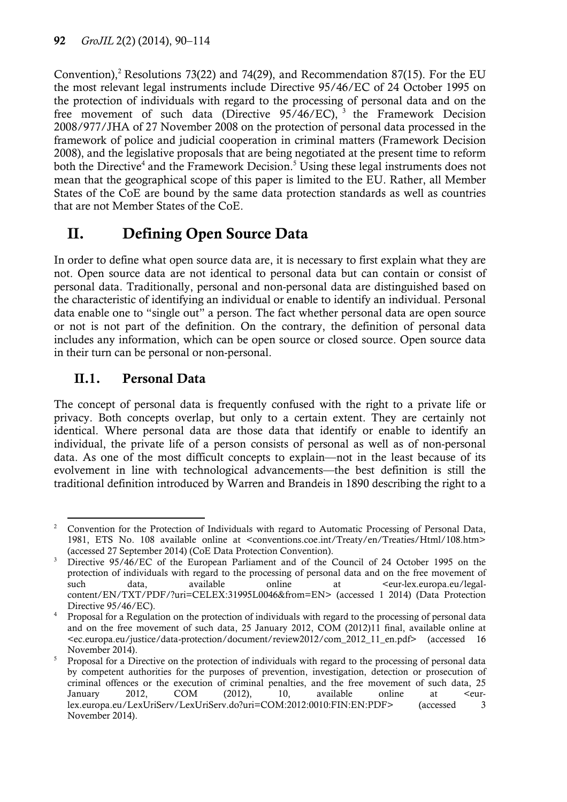Convention), <sup>2</sup> Resolutions 73(22) and 74(29), and Recommendation 87(15). For the EU the most relevant legal instruments include Directive 95/46/EC of 24 October 1995 on the protection of individuals with regard to the processing of personal data and on the free movement of such data (Directive 95/46/EC), <sup>3</sup> the Framework Decision 2008/977/JHA of 27 November 2008 on the protection of personal data processed in the framework of police and judicial cooperation in criminal matters (Framework Decision 2008), and the legislative proposals that are being negotiated at the present time to reform both the Directive<sup>4</sup> and the Framework Decision.<sup>5</sup> Using these legal instruments does not mean that the geographical scope of this paper is limited to the EU. Rather, all Member States of the CoE are bound by the same data protection standards as well as countries that are not Member States of the CoE.

# **II. Defining Open Source Data**

In order to define what open source data are, it is necessary to first explain what they are not. Open source data are not identical to personal data but can contain or consist of personal data. Traditionally, personal and non-personal data are distinguished based on the characteristic of identifying an individual or enable to identify an individual. Personal data enable one to "single out" a person. The fact whether personal data are open source or not is not part of the definition. On the contrary, the definition of personal data includes any information, which can be open source or closed source. Open source data in their turn can be personal or non-personal.

# **II.1. Personal Data**

The concept of personal data is frequently confused with the right to a private life or privacy. Both concepts overlap, but only to a certain extent. They are certainly not identical. Where personal data are those data that identify or enable to identify an individual, the private life of a person consists of personal as well as of non-personal data. As one of the most difficult concepts to explain—not in the least because of its evolvement in line with technological advancements—the best definition is still the traditional definition introduced by Warren and Brandeis in 1890 describing the right to a

 $\overline{a}$  $2$  Convention for the Protection of Individuals with regard to Automatic Processing of Personal Data, 1981, ETS No. 108 available online at <conventions.coe.int/Treaty/en/Treaties/Html/108.htm> (accessed 27 September 2014) (CoE Data Protection Convention).

<sup>&</sup>lt;sup>3</sup> Directive 95/46/EC of the European Parliament and of the Council of 24 October 1995 on the protection of individuals with regard to the processing of personal data and on the free movement of such data, available online at  $\langle$  eur-lex.europa.eu/legalcontent/EN/TXT/PDF/?uri=CELEX:31995L0046&from=EN> (accessed 1 2014) (Data Protection Directive  $95/46/EC$ ).

<sup>4</sup> Proposal for a Regulation on the protection of individuals with regard to the processing of personal data and on the free movement of such data, 25 January 2012, COM (2012)11 final, available online at <ec.europa.eu/justice/data-protection/document/review2012/com\_2012\_11\_en.pdf> (accessed 16 November 2014).

<sup>5</sup> Proposal for a Directive on the protection of individuals with regard to the processing of personal data by competent authorities for the purposes of prevention, investigation, detection or prosecution of criminal offences or the execution of criminal penalties, and the free movement of such data, 25 January 2012, COM (2012), 10, available online at <eurlex.europa.eu/LexUriServ/LexUriServ.do?uri=COM:2012:0010:FIN:EN:PDF> (accessed 3 November 2014).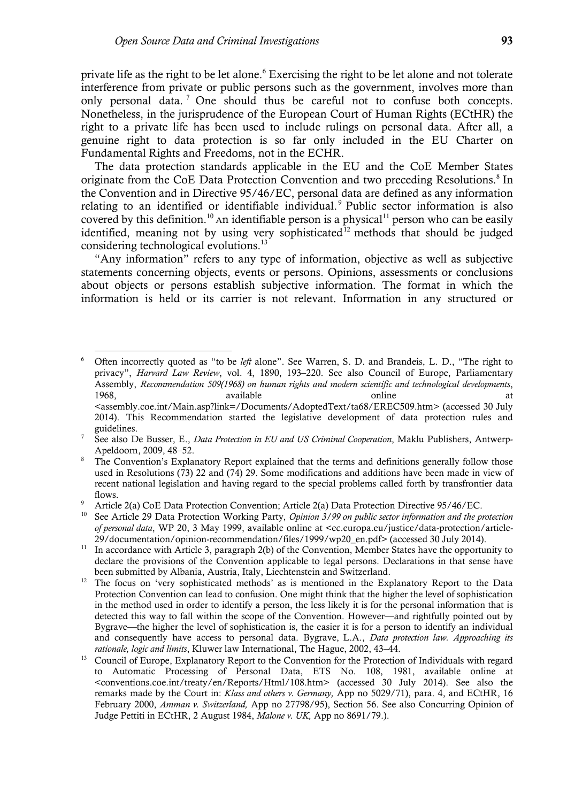private life as the right to be let alone.<sup>6</sup> Exercising the right to be let alone and not tolerate interference from private or public persons such as the government, involves more than only personal data. <sup>7</sup> One should thus be careful not to confuse both concepts. Nonetheless, in the jurisprudence of the European Court of Human Rights (ECtHR) the right to a private life has been used to include rulings on personal data. After all, a genuine right to data protection is so far only included in the EU Charter on Fundamental Rights and Freedoms, not in the ECHR.

The data protection standards applicable in the EU and the CoE Member States originate from the CoE Data Protection Convention and two preceding Resolutions.<sup>8</sup> In the Convention and in Directive 95/46/EC, personal data are defined as any information relating to an identified or identifiable individual. <sup>9</sup> Public sector information is also covered by this definition.<sup>10</sup> An identifiable person is a physical<sup>11</sup> person who can be easily identified, meaning not by using very sophisticated<sup>12</sup> methods that should be judged considering technological evolutions.<sup>13</sup>

"Any information" refers to any type of information, objective as well as subjective statements concerning objects, events or persons. Opinions, assessments or conclusions about objects or persons establish subjective information. The format in which the information is held or its carrier is not relevant. Information in any structured or

 $\overline{a}$ <sup>6</sup> Often incorrectly quoted as "to be *left* alone". See Warren, S. D. and Brandeis, L. D., "The right to privacy", *Harvard Law Review*, vol. 4, 1890, 193–220. See also Council of Europe, Parliamentary Assembly, *Recommendation 509(1968) on human rights and modern scientific and technological developments*, 1968, available available conline at the state at the at  $\alpha$ <assembly.coe.int/Main.asp?link=/Documents/AdoptedText/ta68/EREC509.htm> (accessed 30 July 2014). This Recommendation started the legislative development of data protection rules and guidelines.

<sup>7</sup> See also De Busser, E., *Data Protection in EU and US Criminal Cooperation*, Maklu Publishers, Antwerp-Apeldoorn, 2009, 48–52.

The Convention's Explanatory Report explained that the terms and definitions generally follow those used in Resolutions (73) 22 and (74) 29. Some modifications and additions have been made in view of recent national legislation and having regard to the special problems called forth by transfrontier data flows.

<sup>9</sup> Article 2(a) CoE Data Protection Convention; Article 2(a) Data Protection Directive 95/46/EC.

<sup>10</sup> See Article 29 Data Protection Working Party, *Opinion 3/99 on public sector information and the protection of personal data*, WP 20, 3 May 1999, available online at <ec.europa.eu/justice/data-protection/article-29/documentation/opinion-recommendation/files/1999/wp20\_en.pdf> (accessed 30 July 2014).

<sup>&</sup>lt;sup>11</sup> In accordance with Article 3, paragraph 2(b) of the Convention, Member States have the opportunity to declare the provisions of the Convention applicable to legal persons. Declarations in that sense have been submitted by Albania, Austria, Italy, Liechtenstein and Switzerland.

<sup>&</sup>lt;sup>12</sup> The focus on 'very sophisticated methods' as is mentioned in the Explanatory Report to the Data Protection Convention can lead to confusion. One might think that the higher the level of sophistication in the method used in order to identify a person, the less likely it is for the personal information that is detected this way to fall within the scope of the Convention. However—and rightfully pointed out by Bygrave—the higher the level of sophistication is, the easier it is for a person to identify an individual and consequently have access to personal data. Bygrave, L.A., *Data protection law. Approaching its rationale, logic and limits*, Kluwer law International, The Hague, 2002, 43–44.

<sup>&</sup>lt;sup>13</sup> Council of Europe, Explanatory Report to the Convention for the Protection of Individuals with regard to Automatic Processing of Personal Data, ETS No. 108, 1981, available online at <conventions.coe.int/treaty/en/Reports/Html/108.htm> (accessed 30 July 2014). See also the remarks made by the Court in: *Klass and others v. Germany,* App no 5029/71), para. 4, and ECtHR, 16 February 2000, *Amman v. Switzerland,* App no 27798/95), Section 56. See also Concurring Opinion of Judge Pettiti in ECtHR, 2 August 1984, *Malone v. UK,* App no 8691/79.).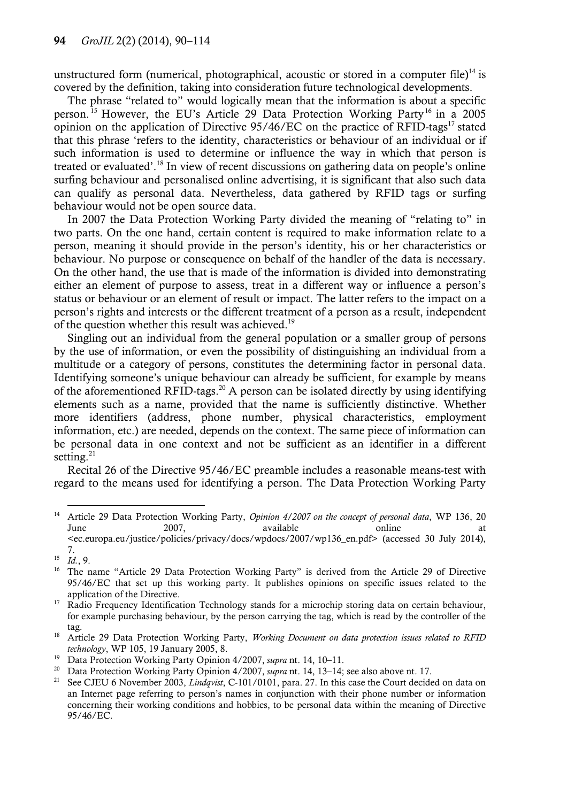unstructured form (numerical, photographical, acoustic or stored in a computer file)<sup>14</sup> is covered by the definition, taking into consideration future technological developments.

The phrase "related to" would logically mean that the information is about a specific person.<sup>15</sup> However, the EU's Article 29 Data Protection Working Party<sup>16</sup> in a 2005 opinion on the application of Directive  $95/46/EC$  on the practice of RFID-tags<sup>17</sup> stated that this phrase 'refers to the identity, characteristics or behaviour of an individual or if such information is used to determine or influence the way in which that person is treated or evaluated'.<sup>18</sup> In view of recent discussions on gathering data on people's online surfing behaviour and personalised online advertising, it is significant that also such data can qualify as personal data. Nevertheless, data gathered by RFID tags or surfing behaviour would not be open source data.

In 2007 the Data Protection Working Party divided the meaning of "relating to" in two parts. On the one hand, certain content is required to make information relate to a person, meaning it should provide in the person's identity, his or her characteristics or behaviour. No purpose or consequence on behalf of the handler of the data is necessary. On the other hand, the use that is made of the information is divided into demonstrating either an element of purpose to assess, treat in a different way or influence a person's status or behaviour or an element of result or impact. The latter refers to the impact on a person's rights and interests or the different treatment of a person as a result, independent of the question whether this result was achieved.<sup>19</sup>

Singling out an individual from the general population or a smaller group of persons by the use of information, or even the possibility of distinguishing an individual from a multitude or a category of persons, constitutes the determining factor in personal data. Identifying someone's unique behaviour can already be sufficient, for example by means of the aforementioned RFID-tags.<sup>20</sup> A person can be isolated directly by using identifying elements such as a name, provided that the name is sufficiently distinctive. Whether more identifiers (address, phone number, physical characteristics, employment information, etc.) are needed, depends on the context. The same piece of information can be personal data in one context and not be sufficient as an identifier in a different setting. $21$ 

Recital 26 of the Directive 95/46/EC preamble includes a reasonable means-test with regard to the means used for identifying a person. The Data Protection Working Party

 $\overline{a}$ <sup>14</sup> Article 29 Data Protection Working Party, *Opinion 4/2007 on the concept of personal data*, WP 136, 20 June 2007, available online at <ec.europa.eu/justice/policies/privacy/docs/wpdocs/2007/wp136\_en.pdf> (accessed 30 July 2014), 7.

<sup>15</sup> *Id.*, 9.

<sup>&</sup>lt;sup>16</sup> The name "Article 29 Data Protection Working Party" is derived from the Article 29 of Directive 95/46/EC that set up this working party. It publishes opinions on specific issues related to the application of the Directive.

<sup>&</sup>lt;sup>17</sup> Radio Frequency Identification Technology stands for a microchip storing data on certain behaviour, for example purchasing behaviour, by the person carrying the tag, which is read by the controller of the tag.

<sup>18</sup> Article 29 Data Protection Working Party, *Working Document on data protection issues related to RFID technology*, WP 105, 19 January 2005, 8.

<sup>19</sup> Data Protection Working Party Opinion 4/2007, *supra* nt. 14, 10–11.

<sup>&</sup>lt;sup>20</sup> Data Protection Working Party Opinion 4/2007, *supra* nt. 14, 13–14; see also above nt. 17.<br><sup>21</sup> See CIEU 6 November 2003, *Lindavist*, C.101/0101, para. 27. In this case the Court decide

<sup>21</sup> See CJEU 6 November 2003, *Lindqvist*, C-101/0101, para. 27. In this case the Court decided on data on an Internet page referring to person's names in conjunction with their phone number or information concerning their working conditions and hobbies, to be personal data within the meaning of Directive 95/46/EC.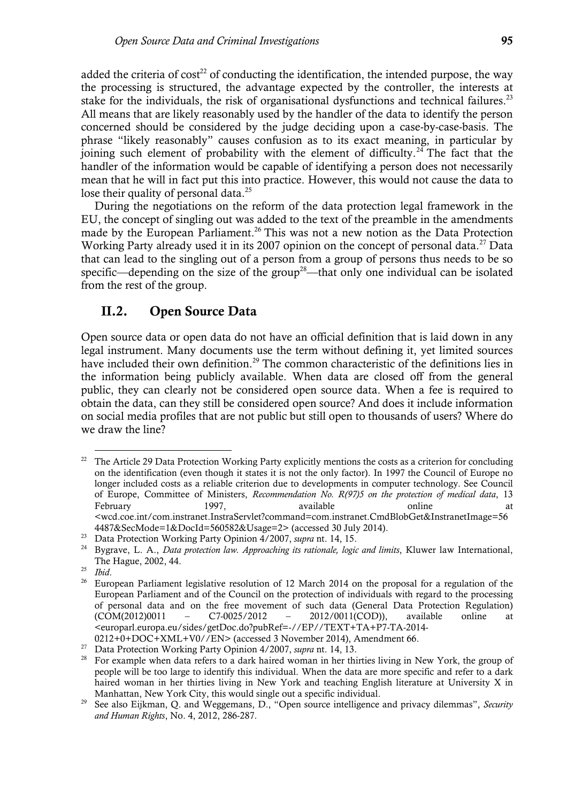added the criteria of cost<sup>22</sup> of conducting the identification, the intended purpose, the way the processing is structured, the advantage expected by the controller, the interests at stake for the individuals, the risk of organisational dysfunctions and technical failures.<sup>23</sup> All means that are likely reasonably used by the handler of the data to identify the person concerned should be considered by the judge deciding upon a case-by-case-basis. The phrase "likely reasonably" causes confusion as to its exact meaning, in particular by joining such element of probability with the element of difficulty.<sup>24</sup> The fact that the handler of the information would be capable of identifying a person does not necessarily mean that he will in fact put this into practice. However, this would not cause the data to lose their quality of personal data.<sup>25</sup>

During the negotiations on the reform of the data protection legal framework in the EU, the concept of singling out was added to the text of the preamble in the amendments made by the European Parliament.<sup>26</sup> This was not a new notion as the Data Protection Working Party already used it in its 2007 opinion on the concept of personal data.<sup>27</sup> Data that can lead to the singling out of a person from a group of persons thus needs to be so specific—depending on the size of the group<sup>28</sup>—that only one individual can be isolated from the rest of the group.

### **II.2. Open Source Data**

Open source data or open data do not have an official definition that is laid down in any legal instrument. Many documents use the term without defining it, yet limited sources have included their own definition.<sup>29</sup> The common characteristic of the definitions lies in the information being publicly available. When data are closed off from the general public, they can clearly not be considered open source data. When a fee is required to obtain the data, can they still be considered open source? And does it include information on social media profiles that are not public but still open to thousands of users? Where do we draw the line?

<sup>&</sup>lt;sup>22</sup> The Article 29 Data Protection Working Party explicitly mentions the costs as a criterion for concluding on the identification (even though it states it is not the only factor). In 1997 the Council of Europe no longer included costs as a reliable criterion due to developments in computer technology. See Council of Europe, Committee of Ministers, *Recommendation No. R(97)5 on the protection of medical data*, 13 February 1997, available conline at the state of the state at the state at  $\alpha$ <wcd.coe.int/com.instranet.InstraServlet?command=com.instranet.CmdBlobGet&InstranetImage=56 4487&SecMode=1&DocId=560582&Usage=2> (accessed 30 July 2014).

<sup>23</sup> Data Protection Working Party Opinion 4/2007, *supra* nt. 14, 15.

<sup>24</sup> Bygrave, L. A., *Data protection law. Approaching its rationale, logic and limits*, Kluwer law International, The Hague, 2002, 44.

<sup>25</sup> *Ibid*.

<sup>&</sup>lt;sup>26</sup> European Parliament legislative resolution of 12 March 2014 on the proposal for a regulation of the European Parliament and of the Council on the protection of individuals with regard to the processing of personal data and on the free movement of such data (General Data Protection Regulation) (COM(2012)0011 – C7-0025/2012 – 2012/0011(COD)), available online at <europarl.europa.eu/sides/getDoc.do?pubRef=-//EP//TEXT+TA+P7-TA-2014-

<sup>0212+0+</sup>DOC+XML+V0//EN> (accessed 3 November 2014), Amendment 66.

<sup>27</sup> Data Protection Working Party Opinion 4/2007, *supra* nt. 14, 13.

<sup>&</sup>lt;sup>28</sup> For example when data refers to a dark haired woman in her thirties living in New York, the group of people will be too large to identify this individual. When the data are more specific and refer to a dark haired woman in her thirties living in New York and teaching English literature at University X in Manhattan, New York City, this would single out a specific individual.

<sup>29</sup> See also Eijkman, Q. and Weggemans, D., "Open source intelligence and privacy dilemmas", *Security and Human Rights*, No. 4, 2012, 286-287.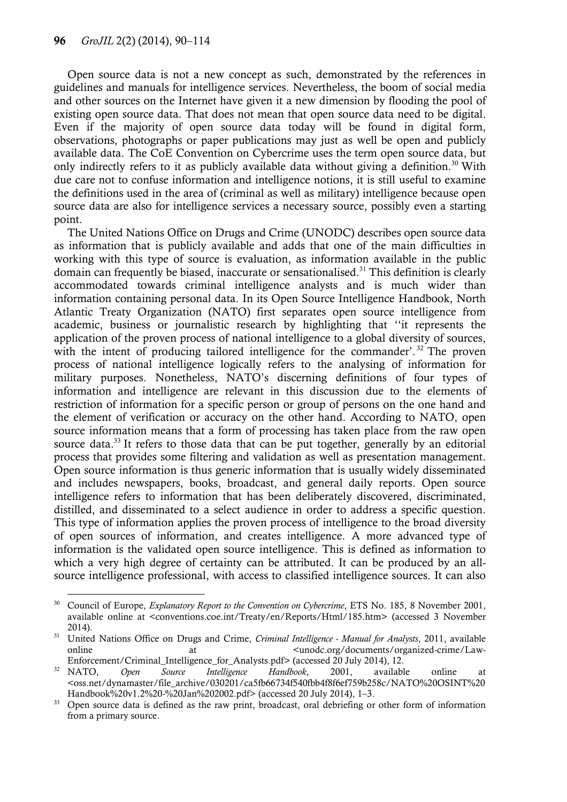Open source data is not a new concept as such, demonstrated by the references in guidelines and manuals for intelligence services. Nevertheless, the boom of social media and other sources on the Internet have given it a new dimension by flooding the pool of existing open source data. That does not mean that open source data need to be digital. Even if the majority of open source data today will be found in digital form, observations, photographs or paper publications may just as well be open and publicly available data. The CoE Convention on Cybercrime uses the term open source data, but only indirectly refers to it as publicly available data without giving a definition.<sup>30</sup> With due care not to confuse information and intelligence notions, it is still useful to examine the definitions used in the area of (criminal as well as military) intelligence because open source data are also for intelligence services a necessary source, possibly even a starting point.

The United Nations Office on Drugs and Crime (UNODC) describes open source data as information that is publicly available and adds that one of the main difficulties in working with this type of source is evaluation, as information available in the public domain can frequently be biased, inaccurate or sensationalised.<sup>31</sup> This definition is clearly accommodated towards criminal intelligence analysts and is much wider than information containing personal data. In its Open Source Intelligence Handbook, North Atlantic Treaty Organization (NATO) first separates open source intelligence from academic, business or journalistic research by highlighting that ''it represents the application of the proven process of national intelligence to a global diversity of sources, with the intent of producing tailored intelligence for the commander'.<sup>32</sup> The proven process of national intelligence logically refers to the analysing of information for military purposes. Nonetheless, NATO's discerning definitions of four types of information and intelligence are relevant in this discussion due to the elements of restriction of information for a specific person or group of persons on the one hand and the element of verification or accuracy on the other hand. According to NATO, open source information means that a form of processing has taken place from the raw open source data.<sup>33</sup> It refers to those data that can be put together, generally by an editorial process that provides some filtering and validation as well as presentation management. Open source information is thus generic information that is usually widely disseminated and includes newspapers, books, broadcast, and general daily reports. Open source intelligence refers to information that has been deliberately discovered, discriminated, distilled, and disseminated to a select audience in order to address a specific question. This type of information applies the proven process of intelligence to the broad diversity of open sources of information, and creates intelligence. A more advanced type of information is the validated open source intelligence. This is defined as information to which a very high degree of certainty can be attributed. It can be produced by an allsource intelligence professional, with access to classified intelligence sources. It can also

l <sup>30</sup> Council of Europe, *Explanatory Report to the Convention on Cybercrime*, ETS No. 185, 8 November 2001, available online at <conventions.coe.int/Treaty/en/Reports/Html/185.htm> (accessed 3 November 2014).

<sup>31</sup> United Nations Office on Drugs and Crime, *Criminal Intelligence - Manual for Analysts*, 2011, available online at at the cunodc.org/documents/organized-crime/Law-

Enforcement/Criminal\_Intelligence\_for\_Analysts.pdf> (accessed 20 July 2014), 12.<br>NATO, Open Source Intelligence Handbook, 2001, availabl <sup>32</sup> NATO, *Open Source Intelligence Handbook*, 2001, available online at <oss.net/dynamaster/file\_archive/030201/ca5fb66734f540fbb4f8f6ef759b258c/NATO%20OSINT%20 Handbook%20v1.2%20-%20Jan%202002.pdf> (accessed 20 July 2014), 1–3.

<sup>&</sup>lt;sup>33</sup> Open source data is defined as the raw print, broadcast, oral debriefing or other form of information from a primary source.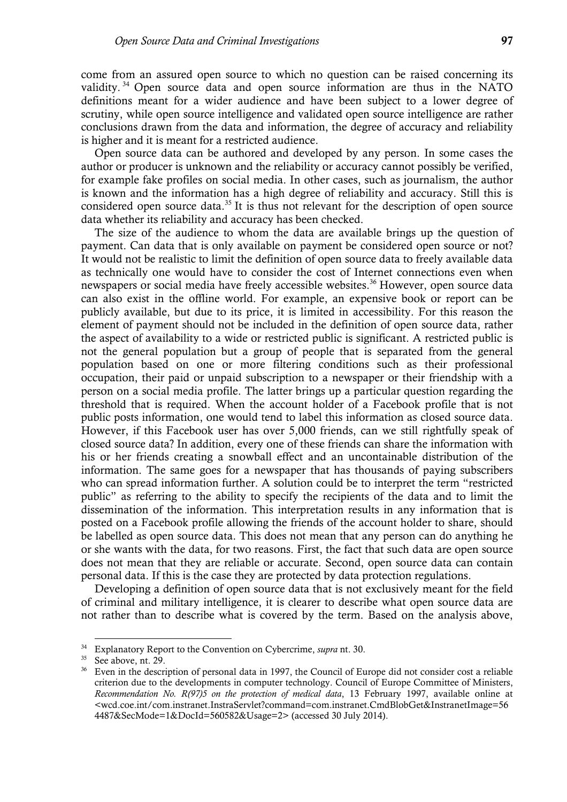come from an assured open source to which no question can be raised concerning its validity.<sup>34</sup> Open source data and open source information are thus in the NATO definitions meant for a wider audience and have been subject to a lower degree of scrutiny, while open source intelligence and validated open source intelligence are rather conclusions drawn from the data and information, the degree of accuracy and reliability is higher and it is meant for a restricted audience.

Open source data can be authored and developed by any person. In some cases the author or producer is unknown and the reliability or accuracy cannot possibly be verified, for example fake profiles on social media. In other cases, such as journalism, the author is known and the information has a high degree of reliability and accuracy. Still this is considered open source data.<sup>35</sup> It is thus not relevant for the description of open source data whether its reliability and accuracy has been checked.

The size of the audience to whom the data are available brings up the question of payment. Can data that is only available on payment be considered open source or not? It would not be realistic to limit the definition of open source data to freely available data as technically one would have to consider the cost of Internet connections even when newspapers or social media have freely accessible websites.<sup>36</sup> However, open source data can also exist in the offline world. For example, an expensive book or report can be publicly available, but due to its price, it is limited in accessibility. For this reason the element of payment should not be included in the definition of open source data, rather the aspect of availability to a wide or restricted public is significant. A restricted public is not the general population but a group of people that is separated from the general population based on one or more filtering conditions such as their professional occupation, their paid or unpaid subscription to a newspaper or their friendship with a person on a social media profile. The latter brings up a particular question regarding the threshold that is required. When the account holder of a Facebook profile that is not public posts information, one would tend to label this information as closed source data. However, if this Facebook user has over 5,000 friends, can we still rightfully speak of closed source data? In addition, every one of these friends can share the information with his or her friends creating a snowball effect and an uncontainable distribution of the information. The same goes for a newspaper that has thousands of paying subscribers who can spread information further. A solution could be to interpret the term "restricted public" as referring to the ability to specify the recipients of the data and to limit the dissemination of the information. This interpretation results in any information that is posted on a Facebook profile allowing the friends of the account holder to share, should be labelled as open source data. This does not mean that any person can do anything he or she wants with the data, for two reasons. First, the fact that such data are open source does not mean that they are reliable or accurate. Second, open source data can contain personal data. If this is the case they are protected by data protection regulations.

Developing a definition of open source data that is not exclusively meant for the field of criminal and military intelligence, it is clearer to describe what open source data are not rather than to describe what is covered by the term. Based on the analysis above,

<sup>34</sup> Explanatory Report to the Convention on Cybercrime, *supra* nt. 30.

<sup>&</sup>lt;sup>35</sup> See above, nt. 29.

<sup>&</sup>lt;sup>36</sup> Even in the description of personal data in 1997, the Council of Europe did not consider cost a reliable criterion due to the developments in computer technology. Council of Europe Committee of Ministers, *Recommendation No. R(97)5 on the protection of medical data*, 13 February 1997, available online at <wcd.coe.int/com.instranet.InstraServlet?command=com.instranet.CmdBlobGet&InstranetImage=56 4487&SecMode=1&DocId=560582&Usage=2> (accessed 30 July 2014).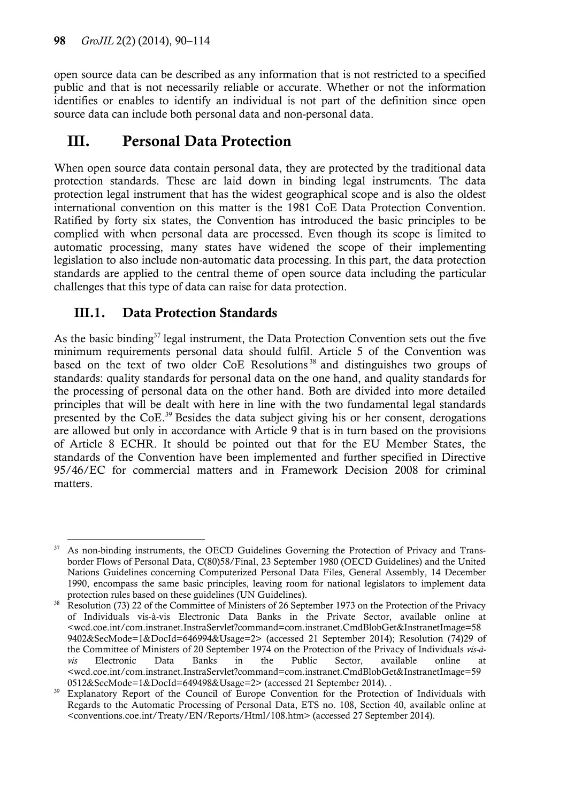open source data can be described as any information that is not restricted to a specified public and that is not necessarily reliable or accurate. Whether or not the information identifies or enables to identify an individual is not part of the definition since open source data can include both personal data and non-personal data.

# **III. Personal Data Protection**

When open source data contain personal data, they are protected by the traditional data protection standards. These are laid down in binding legal instruments. The data protection legal instrument that has the widest geographical scope and is also the oldest international convention on this matter is the 1981 CoE Data Protection Convention. Ratified by forty six states, the Convention has introduced the basic principles to be complied with when personal data are processed. Even though its scope is limited to automatic processing, many states have widened the scope of their implementing legislation to also include non-automatic data processing. In this part, the data protection standards are applied to the central theme of open source data including the particular challenges that this type of data can raise for data protection.

# **III.1. Data Protection Standards**

As the basic binding $37$  legal instrument, the Data Protection Convention sets out the five minimum requirements personal data should fulfil. Article 5 of the Convention was based on the text of two older CoE Resolutions<sup>38</sup> and distinguishes two groups of standards: quality standards for personal data on the one hand, and quality standards for the processing of personal data on the other hand. Both are divided into more detailed principles that will be dealt with here in line with the two fundamental legal standards presented by the CoE.<sup>39</sup> Besides the data subject giving his or her consent, derogations are allowed but only in accordance with Article 9 that is in turn based on the provisions of Article 8 ECHR. It should be pointed out that for the EU Member States, the standards of the Convention have been implemented and further specified in Directive 95/46/EC for commercial matters and in Framework Decision 2008 for criminal matters.

 $\overline{a}$  $37$  As non-binding instruments, the OECD Guidelines Governing the Protection of Privacy and Transborder Flows of Personal Data, C(80)58/Final, 23 September 1980 (OECD Guidelines) and the United Nations Guidelines concerning Computerized Personal Data Files, General Assembly, 14 December 1990, encompass the same basic principles, leaving room for national legislators to implement data protection rules based on these guidelines (UN Guidelines).

Resolution (73) 22 of the Committee of Ministers of 26 September 1973 on the Protection of the Privacy of Individuals vis-à-vis Electronic Data Banks in the Private Sector, available online at <wcd.coe.int/com.instranet.InstraServlet?command=com.instranet.CmdBlobGet&InstranetImage=58 9402&SecMode=1&DocId=646994&Usage=2> (accessed 21 September 2014); Resolution (74)29 of the Committee of Ministers of 20 September 1974 on the Protection of the Privacy of Individuals *vis-àvis* Electronic Data Banks in the Public Sector, available online at <wcd.coe.int/com.instranet.InstraServlet?command=com.instranet.CmdBlobGet&InstranetImage=59 0512&SecMode=1&DocId=649498&Usage=2> (accessed 21 September 2014). .

Explanatory Report of the Council of Europe Convention for the Protection of Individuals with Regards to the Automatic Processing of Personal Data, ETS no. 108, Section 40, available online at <conventions.coe.int/Treaty/EN/Reports/Html/108.htm> (accessed 27 September 2014).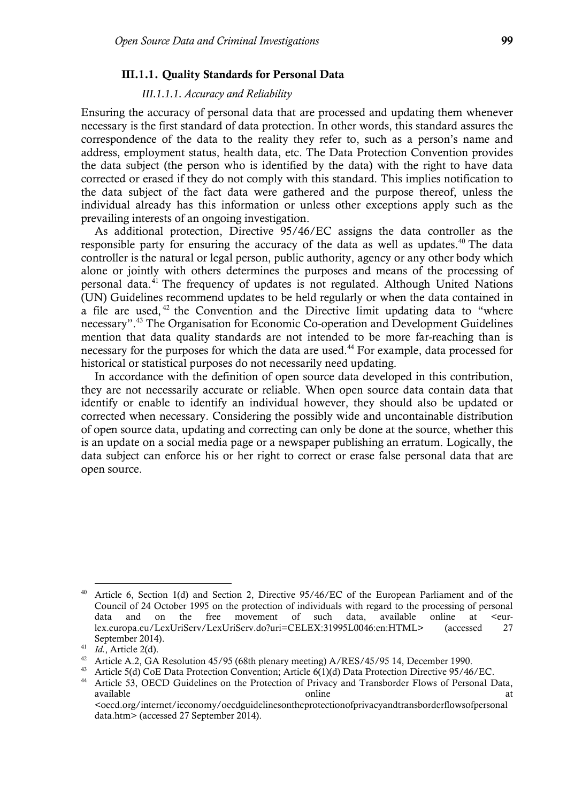#### **III.1.1. Quality Standards for Personal Data**

#### *III.1.1.1. Accuracy and Reliability*

Ensuring the accuracy of personal data that are processed and updating them whenever necessary is the first standard of data protection. In other words, this standard assures the correspondence of the data to the reality they refer to, such as a person's name and address, employment status, health data, etc. The Data Protection Convention provides the data subject (the person who is identified by the data) with the right to have data corrected or erased if they do not comply with this standard. This implies notification to the data subject of the fact data were gathered and the purpose thereof, unless the individual already has this information or unless other exceptions apply such as the prevailing interests of an ongoing investigation.

As additional protection, Directive 95/46/EC assigns the data controller as the responsible party for ensuring the accuracy of the data as well as updates. $40$  The data controller is the natural or legal person, public authority, agency or any other body which alone or jointly with others determines the purposes and means of the processing of personal data.<sup>41</sup> The frequency of updates is not regulated. Although United Nations (UN) Guidelines recommend updates to be held regularly or when the data contained in a file are used,  $42$  the Convention and the Directive limit updating data to "where necessary". <sup>43</sup> The Organisation for Economic Co-operation and Development Guidelines mention that data quality standards are not intended to be more far-reaching than is necessary for the purposes for which the data are used.<sup>44</sup> For example, data processed for historical or statistical purposes do not necessarily need updating.

In accordance with the definition of open source data developed in this contribution, they are not necessarily accurate or reliable. When open source data contain data that identify or enable to identify an individual however, they should also be updated or corrected when necessary. Considering the possibly wide and uncontainable distribution of open source data, updating and correcting can only be done at the source, whether this is an update on a social media page or a newspaper publishing an erratum. Logically, the data subject can enforce his or her right to correct or erase false personal data that are open source.

Article 6, Section 1(d) and Section 2, Directive 95/46/EC of the European Parliament and of the Council of 24 October 1995 on the protection of individuals with regard to the processing of personal data and on the free movement of such data, available online at <eurlex.europa.eu/LexUriServ/LexUriServ.do?uri=CELEX:31995L0046:en:HTML> (accessed 27 September 2014).

<sup>41</sup> *Id.*, Article 2(d).

<sup>&</sup>lt;sup>42</sup> Article A.2, GA Resolution 45/95 (68th plenary meeting) A/RES/45/95 14, December 1990.

<sup>&</sup>lt;sup>43</sup> Article 5(d) CoE Data Protection Convention; Article 6(1)(d) Data Protection Directive 95/46/EC.

<sup>&</sup>lt;sup>44</sup> Article 53, OECD Guidelines on the Protection of Privacy and Transborder Flows of Personal Data, available at the set of the set of the set of the set of the set of the set of the set of the set of the set o <oecd.org/internet/ieconomy/oecdguidelinesontheprotectionofprivacyandtransborderflowsofpersonal data.htm> (accessed 27 September 2014).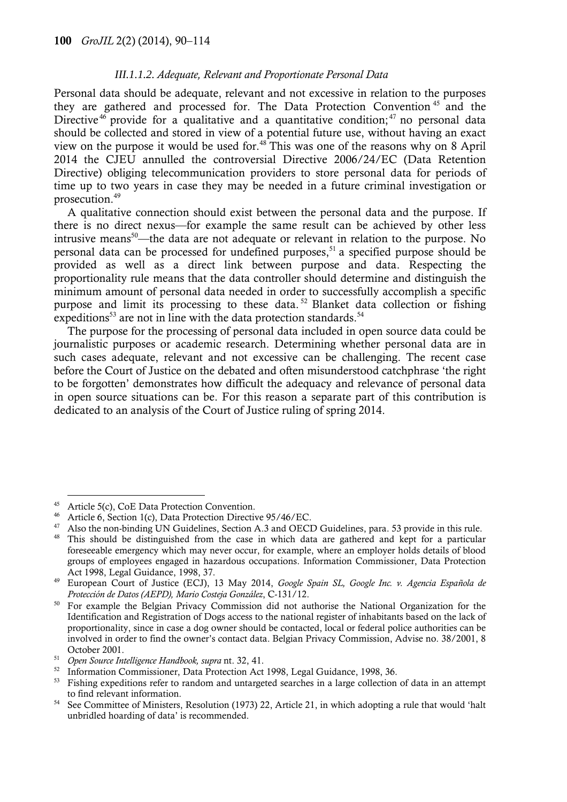#### *III.1.1.2. Adequate, Relevant and Proportionate Personal Data*

Personal data should be adequate, relevant and not excessive in relation to the purposes they are gathered and processed for. The Data Protection Convention <sup>45</sup> and the Directive<sup>46</sup> provide for a qualitative and a quantitative condition;<sup>47</sup> no personal data should be collected and stored in view of a potential future use, without having an exact view on the purpose it would be used for.<sup>48</sup> This was one of the reasons why on 8 April 2014 the CJEU annulled the controversial Directive 2006/24/EC (Data Retention Directive) obliging telecommunication providers to store personal data for periods of time up to two years in case they may be needed in a future criminal investigation or prosecution.<sup>49</sup>

A qualitative connection should exist between the personal data and the purpose. If there is no direct nexus—for example the same result can be achieved by other less intrusive means<sup>50</sup>—the data are not adequate or relevant in relation to the purpose. No personal data can be processed for undefined purposes, $51$  a specified purpose should be provided as well as a direct link between purpose and data. Respecting the proportionality rule means that the data controller should determine and distinguish the minimum amount of personal data needed in order to successfully accomplish a specific purpose and limit its processing to these data.<sup>52</sup> Blanket data collection or fishing expeditions<sup>53</sup> are not in line with the data protection standards.<sup>54</sup>

The purpose for the processing of personal data included in open source data could be journalistic purposes or academic research. Determining whether personal data are in such cases adequate, relevant and not excessive can be challenging. The recent case before the Court of Justice on the debated and often misunderstood catchphrase 'the right to be forgotten' demonstrates how difficult the adequacy and relevance of personal data in open source situations can be. For this reason a separate part of this contribution is dedicated to an analysis of the Court of Justice ruling of spring 2014.

<sup>45</sup> Article 5(c), CoE Data Protection Convention.

<sup>46</sup> Article 6, Section 1(c), Data Protection Directive 95/46/EC.

<sup>&</sup>lt;sup>47</sup> Also the non-binding UN Guidelines, Section A.3 and OECD Guidelines, para. 53 provide in this rule.

<sup>&</sup>lt;sup>48</sup> This should be distinguished from the case in which data are gathered and kept for a particular foreseeable emergency which may never occur, for example, where an employer holds details of blood groups of employees engaged in hazardous occupations. Information Commissioner, Data Protection Act 1998, Legal Guidance, 1998, 37.

<sup>49</sup> European Court of Justice (ECJ), 13 May 2014, *Google Spain SL, Google Inc. v. Agencia Española de Protección de Datos (AEPD), Mario Costeja González*, C-131/12.

<sup>&</sup>lt;sup>50</sup> For example the Belgian Privacy Commission did not authorise the National Organization for the Identification and Registration of Dogs access to the national register of inhabitants based on the lack of proportionality, since in case a dog owner should be contacted, local or federal police authorities can be involved in order to find the owner's contact data. Belgian Privacy Commission, Advise no. 38/2001, 8 October 2001.

<sup>51</sup> *Open Source Intelligence Handbook, supra* nt. 32, 41.

<sup>&</sup>lt;sup>52</sup> Information Commissioner, Data Protection Act 1998, Legal Guidance, 1998, 36.

<sup>&</sup>lt;sup>53</sup> Fishing expeditions refer to random and untargeted searches in a large collection of data in an attempt to find relevant information.

<sup>54</sup> See Committee of Ministers, Resolution (1973) 22, Article 21, in which adopting a rule that would 'halt unbridled hoarding of data' is recommended.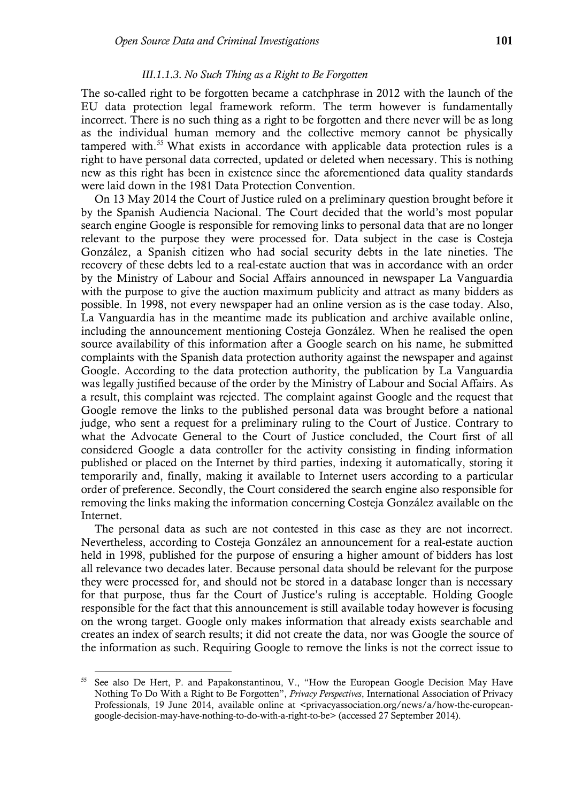#### *III.1.1.3. No Such Thing as a Right to Be Forgotten*

The so-called right to be forgotten became a catchphrase in 2012 with the launch of the EU data protection legal framework reform. The term however is fundamentally incorrect. There is no such thing as a right to be forgotten and there never will be as long as the individual human memory and the collective memory cannot be physically tampered with.<sup>55</sup> What exists in accordance with applicable data protection rules is a right to have personal data corrected, updated or deleted when necessary. This is nothing new as this right has been in existence since the aforementioned data quality standards were laid down in the 1981 Data Protection Convention.

On 13 May 2014 the Court of Justice ruled on a preliminary question brought before it by the Spanish Audiencia Nacional. The Court decided that the world's most popular search engine Google is responsible for removing links to personal data that are no longer relevant to the purpose they were processed for. Data subject in the case is Costeja González, a Spanish citizen who had social security debts in the late nineties. The recovery of these debts led to a real-estate auction that was in accordance with an order by the Ministry of Labour and Social Affairs announced in newspaper La Vanguardia with the purpose to give the auction maximum publicity and attract as many bidders as possible. In 1998, not every newspaper had an online version as is the case today. Also, La Vanguardia has in the meantime made its publication and archive available online, including the announcement mentioning Costeja González. When he realised the open source availability of this information after a Google search on his name, he submitted complaints with the Spanish data protection authority against the newspaper and against Google. According to the data protection authority, the publication by La Vanguardia was legally justified because of the order by the Ministry of Labour and Social Affairs. As a result, this complaint was rejected. The complaint against Google and the request that Google remove the links to the published personal data was brought before a national judge, who sent a request for a preliminary ruling to the Court of Justice. Contrary to what the Advocate General to the Court of Justice concluded, the Court first of all considered Google a data controller for the activity consisting in finding information published or placed on the Internet by third parties, indexing it automatically, storing it temporarily and, finally, making it available to Internet users according to a particular order of preference. Secondly, the Court considered the search engine also responsible for removing the links making the information concerning Costeja González available on the Internet.

The personal data as such are not contested in this case as they are not incorrect. Nevertheless, according to Costeja González an announcement for a real-estate auction held in 1998, published for the purpose of ensuring a higher amount of bidders has lost all relevance two decades later. Because personal data should be relevant for the purpose they were processed for, and should not be stored in a database longer than is necessary for that purpose, thus far the Court of Justice's ruling is acceptable. Holding Google responsible for the fact that this announcement is still available today however is focusing on the wrong target. Google only makes information that already exists searchable and creates an index of search results; it did not create the data, nor was Google the source of the information as such. Requiring Google to remove the links is not the correct issue to

<sup>55</sup> See also De Hert, P. and Papakonstantinou, V., "How the European Google Decision May Have Nothing To Do With a Right to Be Forgotten", *Privacy Perspectives*, International Association of Privacy Professionals, 19 June 2014, available online at <privacyassociation.org/news/a/how-the-europeangoogle-decision-may-have-nothing-to-do-with-a-right-to-be> (accessed 27 September 2014).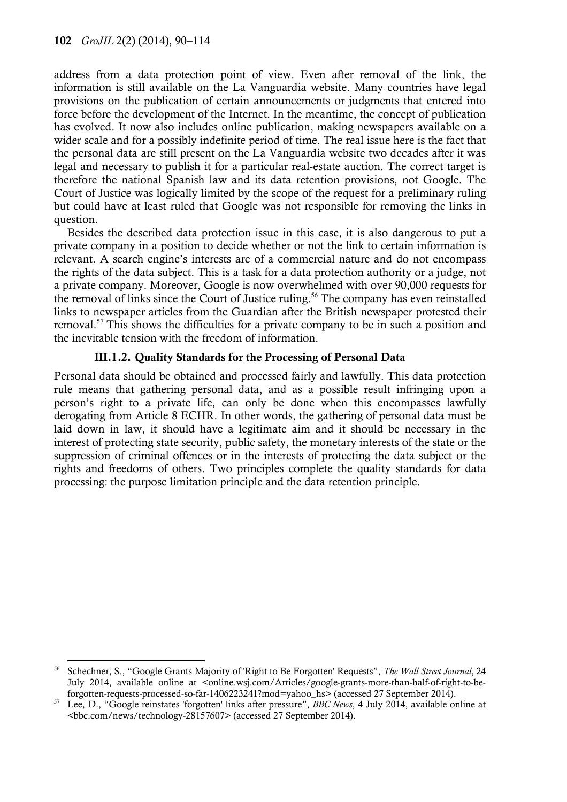$\overline{a}$ 

address from a data protection point of view. Even after removal of the link, the information is still available on the La Vanguardia website. Many countries have legal provisions on the publication of certain announcements or judgments that entered into force before the development of the Internet. In the meantime, the concept of publication has evolved. It now also includes online publication, making newspapers available on a wider scale and for a possibly indefinite period of time. The real issue here is the fact that the personal data are still present on the La Vanguardia website two decades after it was legal and necessary to publish it for a particular real-estate auction. The correct target is therefore the national Spanish law and its data retention provisions, not Google. The Court of Justice was logically limited by the scope of the request for a preliminary ruling but could have at least ruled that Google was not responsible for removing the links in question.

Besides the described data protection issue in this case, it is also dangerous to put a private company in a position to decide whether or not the link to certain information is relevant. A search engine's interests are of a commercial nature and do not encompass the rights of the data subject. This is a task for a data protection authority or a judge, not a private company. Moreover, Google is now overwhelmed with over 90,000 requests for the removal of links since the Court of Justice ruling.<sup>56</sup> The company has even reinstalled links to newspaper articles from the Guardian after the British newspaper protested their removal.<sup>57</sup> This shows the difficulties for a private company to be in such a position and the inevitable tension with the freedom of information.

### **III.1.2. Quality Standards for the Processing of Personal Data**

Personal data should be obtained and processed fairly and lawfully. This data protection rule means that gathering personal data, and as a possible result infringing upon a person's right to a private life, can only be done when this encompasses lawfully derogating from Article 8 ECHR. In other words, the gathering of personal data must be laid down in law, it should have a legitimate aim and it should be necessary in the interest of protecting state security, public safety, the monetary interests of the state or the suppression of criminal offences or in the interests of protecting the data subject or the rights and freedoms of others. Two principles complete the quality standards for data processing: the purpose limitation principle and the data retention principle.

<sup>56</sup> Schechner, S., "Google Grants Majority of 'Right to Be Forgotten' Requests", *The Wall Street Journal*, 24 July 2014, available online at <online.wsj.com/Articles/google-grants-more-than-half-of-right-to-beforgotten-requests-processed-so-far-1406223241?mod=yahoo\_hs> (accessed 27 September 2014).

<sup>57</sup> Lee, D., "Google reinstates 'forgotten' links after pressure", *BBC News*, 4 July 2014, available online at <bbc.com/news/technology-28157607> (accessed 27 September 2014).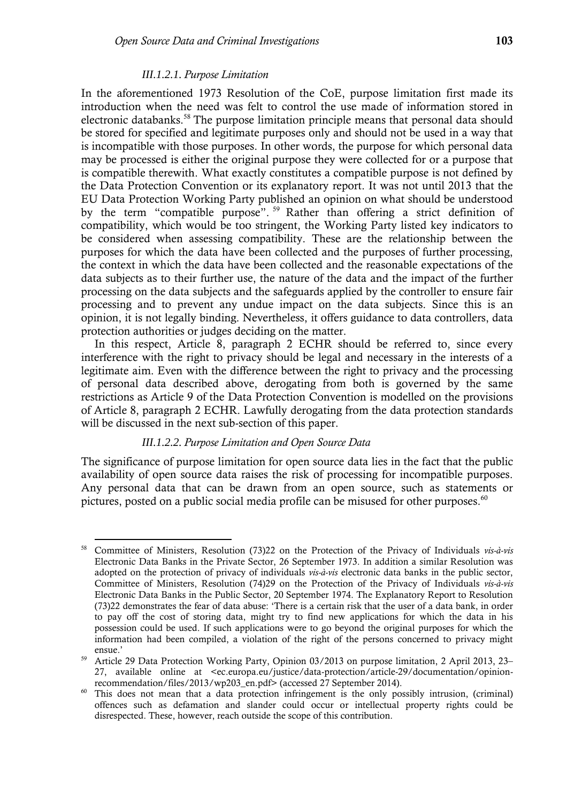#### *III.1.2.1. Purpose Limitation*

In the aforementioned 1973 Resolution of the CoE, purpose limitation first made its introduction when the need was felt to control the use made of information stored in electronic databanks.<sup>58</sup> The purpose limitation principle means that personal data should be stored for specified and legitimate purposes only and should not be used in a way that is incompatible with those purposes. In other words, the purpose for which personal data may be processed is either the original purpose they were collected for or a purpose that is compatible therewith. What exactly constitutes a compatible purpose is not defined by the Data Protection Convention or its explanatory report. It was not until 2013 that the EU Data Protection Working Party published an opinion on what should be understood by the term "compatible purpose". <sup>59</sup> Rather than offering a strict definition of compatibility, which would be too stringent, the Working Party listed key indicators to be considered when assessing compatibility. These are the relationship between the purposes for which the data have been collected and the purposes of further processing, the context in which the data have been collected and the reasonable expectations of the data subjects as to their further use, the nature of the data and the impact of the further processing on the data subjects and the safeguards applied by the controller to ensure fair processing and to prevent any undue impact on the data subjects. Since this is an opinion, it is not legally binding. Nevertheless, it offers guidance to data controllers, data protection authorities or judges deciding on the matter.

In this respect, Article 8, paragraph 2 ECHR should be referred to, since every interference with the right to privacy should be legal and necessary in the interests of a legitimate aim. Even with the difference between the right to privacy and the processing of personal data described above, derogating from both is governed by the same restrictions as Article 9 of the Data Protection Convention is modelled on the provisions of Article 8, paragraph 2 ECHR. Lawfully derogating from the data protection standards will be discussed in the next sub-section of this paper.

#### *III.1.2.2. Purpose Limitation and Open Source Data*

The significance of purpose limitation for open source data lies in the fact that the public availability of open source data raises the risk of processing for incompatible purposes. Any personal data that can be drawn from an open source, such as statements or pictures, posted on a public social media profile can be misused for other purposes.<sup>60</sup>

 $\overline{a}$ <sup>58</sup> Committee of Ministers, Resolution (73)22 on the Protection of the Privacy of Individuals *vis-à-vis* Electronic Data Banks in the Private Sector, 26 September 1973. In addition a similar Resolution was adopted on the protection of privacy of individuals *vis-à-vis* electronic data banks in the public sector, Committee of Ministers, Resolution (74)29 on the Protection of the Privacy of Individuals *vis-à-vis* Electronic Data Banks in the Public Sector, 20 September 1974. The Explanatory Report to Resolution (73)22 demonstrates the fear of data abuse: 'There is a certain risk that the user of a data bank, in order to pay off the cost of storing data, might try to find new applications for which the data in his possession could be used. If such applications were to go beyond the original purposes for which the information had been compiled, a violation of the right of the persons concerned to privacy might ensue.'

<sup>59</sup> Article 29 Data Protection Working Party, Opinion 03/2013 on purpose limitation, 2 April 2013, 23– 27, available online at <ec.europa.eu/justice/data-protection/article-29/documentation/opinionrecommendation/files/2013/wp203\_en.pdf> (accessed 27 September 2014).

<sup>&</sup>lt;sup>60</sup> This does not mean that a data protection infringement is the only possibly intrusion, (criminal) offences such as defamation and slander could occur or intellectual property rights could be disrespected. These, however, reach outside the scope of this contribution.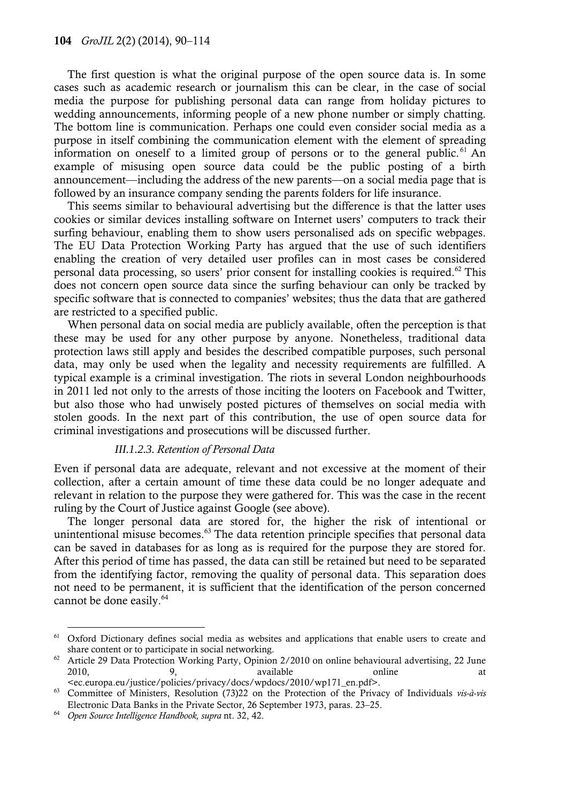The first question is what the original purpose of the open source data is. In some cases such as academic research or journalism this can be clear, in the case of social media the purpose for publishing personal data can range from holiday pictures to wedding announcements, informing people of a new phone number or simply chatting. The bottom line is communication. Perhaps one could even consider social media as a purpose in itself combining the communication element with the element of spreading information on oneself to a limited group of persons or to the general public.<sup>61</sup> An example of misusing open source data could be the public posting of a birth announcement—including the address of the new parents—on a social media page that is followed by an insurance company sending the parents folders for life insurance.

This seems similar to behavioural advertising but the difference is that the latter uses cookies or similar devices installing software on Internet users' computers to track their surfing behaviour, enabling them to show users personalised ads on specific webpages. The EU Data Protection Working Party has argued that the use of such identifiers enabling the creation of very detailed user profiles can in most cases be considered personal data processing, so users' prior consent for installing cookies is required.<sup>62</sup> This does not concern open source data since the surfing behaviour can only be tracked by specific software that is connected to companies' websites; thus the data that are gathered are restricted to a specified public.

When personal data on social media are publicly available, often the perception is that these may be used for any other purpose by anyone. Nonetheless, traditional data protection laws still apply and besides the described compatible purposes, such personal data, may only be used when the legality and necessity requirements are fulfilled. A typical example is a criminal investigation. The riots in several London neighbourhoods in 2011 led not only to the arrests of those inciting the looters on Facebook and Twitter, but also those who had unwisely posted pictures of themselves on social media with stolen goods. In the next part of this contribution, the use of open source data for criminal investigations and prosecutions will be discussed further.

#### *III.1.2.3. Retention of Personal Data*

Even if personal data are adequate, relevant and not excessive at the moment of their collection, after a certain amount of time these data could be no longer adequate and relevant in relation to the purpose they were gathered for. This was the case in the recent ruling by the Court of Justice against Google (see above).

The longer personal data are stored for, the higher the risk of intentional or unintentional misuse becomes.<sup>63</sup> The data retention principle specifies that personal data can be saved in databases for as long as is required for the purpose they are stored for. After this period of time has passed, the data can still be retained but need to be separated from the identifying factor, removing the quality of personal data. This separation does not need to be permanent, it is sufficient that the identification of the person concerned cannot be done easily.<sup>64</sup>

l

<sup>61</sup> Oxford Dictionary defines social media as websites and applications that enable users to create and share content or to participate in social networking.

<sup>&</sup>lt;sup>62</sup> Article 29 Data Protection Working Party, Opinion 2/2010 on online behavioural advertising, 22 June 2010, 2010, 2010, 2010, 2010, 2010, 2010, 2010, 2010, 2010, 2010, 2010, 2011, 2012 <ec.europa.eu/justice/policies/privacy/docs/wpdocs/2010/wp171\_en.pdf>.

<sup>63</sup> Committee of Ministers, Resolution (73)22 on the Protection of the Privacy of Individuals *vis-à-vis* Electronic Data Banks in the Private Sector, 26 September 1973, paras. 23–25.

<sup>64</sup> *Open Source Intelligence Handbook, supra* nt. 32, 42.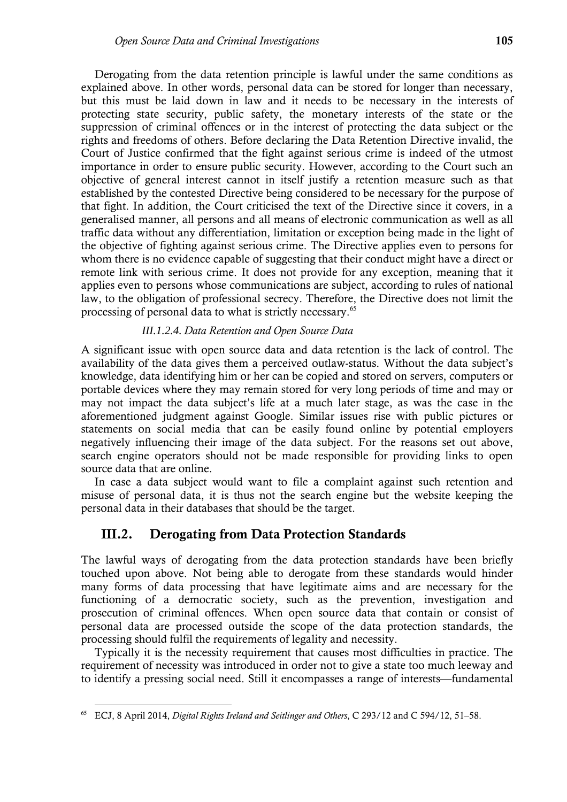Derogating from the data retention principle is lawful under the same conditions as explained above. In other words, personal data can be stored for longer than necessary, but this must be laid down in law and it needs to be necessary in the interests of protecting state security, public safety, the monetary interests of the state or the suppression of criminal offences or in the interest of protecting the data subject or the rights and freedoms of others. Before declaring the Data Retention Directive invalid, the Court of Justice confirmed that the fight against serious crime is indeed of the utmost importance in order to ensure public security. However, according to the Court such an objective of general interest cannot in itself justify a retention measure such as that established by the contested Directive being considered to be necessary for the purpose of that fight. In addition, the Court criticised the text of the Directive since it covers, in a generalised manner, all persons and all means of electronic communication as well as all traffic data without any differentiation, limitation or exception being made in the light of the objective of fighting against serious crime. The Directive applies even to persons for whom there is no evidence capable of suggesting that their conduct might have a direct or remote link with serious crime. It does not provide for any exception, meaning that it applies even to persons whose communications are subject, according to rules of national law, to the obligation of professional secrecy. Therefore, the Directive does not limit the processing of personal data to what is strictly necessary.<sup>65</sup>

#### *III.1.2.4. Data Retention and Open Source Data*

A significant issue with open source data and data retention is the lack of control. The availability of the data gives them a perceived outlaw-status. Without the data subject's knowledge, data identifying him or her can be copied and stored on servers, computers or portable devices where they may remain stored for very long periods of time and may or may not impact the data subject's life at a much later stage, as was the case in the aforementioned judgment against Google. Similar issues rise with public pictures or statements on social media that can be easily found online by potential employers negatively influencing their image of the data subject. For the reasons set out above, search engine operators should not be made responsible for providing links to open source data that are online.

In case a data subject would want to file a complaint against such retention and misuse of personal data, it is thus not the search engine but the website keeping the personal data in their databases that should be the target.

### **III.2. Derogating from Data Protection Standards**

The lawful ways of derogating from the data protection standards have been briefly touched upon above. Not being able to derogate from these standards would hinder many forms of data processing that have legitimate aims and are necessary for the functioning of a democratic society, such as the prevention, investigation and prosecution of criminal offences. When open source data that contain or consist of personal data are processed outside the scope of the data protection standards, the processing should fulfil the requirements of legality and necessity.

Typically it is the necessity requirement that causes most difficulties in practice. The requirement of necessity was introduced in order not to give a state too much leeway and to identify a pressing social need. Still it encompasses a range of interests—fundamental

<sup>65</sup> ECJ, 8 April 2014, *Digital Rights Ireland and Seitlinger and Others*, C 293/12 and C 594/12, 51–58.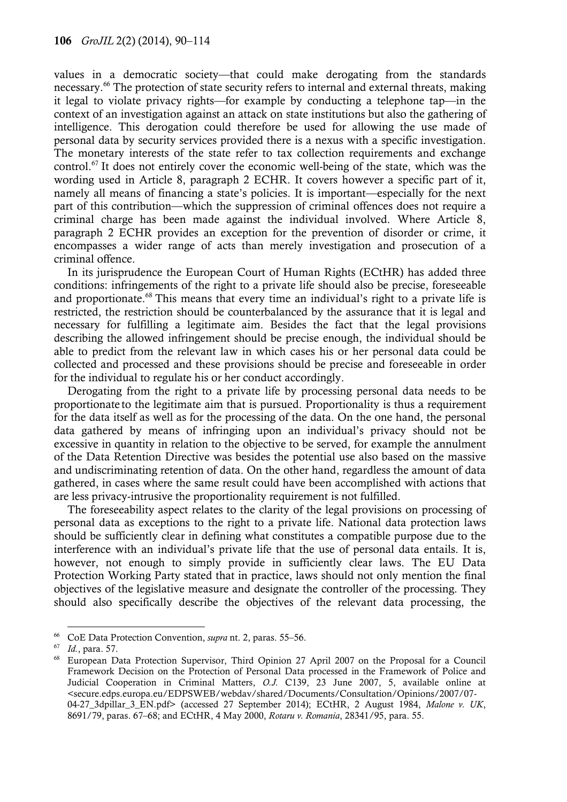values in a democratic society—that could make derogating from the standards necessary.<sup>66</sup> The protection of state security refers to internal and external threats, making it legal to violate privacy rights—for example by conducting a telephone tap—in the context of an investigation against an attack on state institutions but also the gathering of intelligence. This derogation could therefore be used for allowing the use made of personal data by security services provided there is a nexus with a specific investigation. The monetary interests of the state refer to tax collection requirements and exchange control.<sup>67</sup> It does not entirely cover the economic well-being of the state, which was the wording used in Article 8, paragraph 2 ECHR. It covers however a specific part of it, namely all means of financing a state's policies. It is important—especially for the next part of this contribution—which the suppression of criminal offences does not require a criminal charge has been made against the individual involved. Where Article 8, paragraph 2 ECHR provides an exception for the prevention of disorder or crime, it encompasses a wider range of acts than merely investigation and prosecution of a criminal offence.

In its jurisprudence the European Court of Human Rights (ECtHR) has added three conditions: infringements of the right to a private life should also be precise, foreseeable and proportionate.<sup>68</sup> This means that every time an individual's right to a private life is restricted, the restriction should be counterbalanced by the assurance that it is legal and necessary for fulfilling a legitimate aim. Besides the fact that the legal provisions describing the allowed infringement should be precise enough, the individual should be able to predict from the relevant law in which cases his or her personal data could be collected and processed and these provisions should be precise and foreseeable in order for the individual to regulate his or her conduct accordingly.

Derogating from the right to a private life by processing personal data needs to be proportionate to the legitimate aim that is pursued. Proportionality is thus a requirement for the data itself as well as for the processing of the data. On the one hand, the personal data gathered by means of infringing upon an individual's privacy should not be excessive in quantity in relation to the objective to be served, for example the annulment of the Data Retention Directive was besides the potential use also based on the massive and undiscriminating retention of data. On the other hand, regardless the amount of data gathered, in cases where the same result could have been accomplished with actions that are less privacy-intrusive the proportionality requirement is not fulfilled.

The foreseeability aspect relates to the clarity of the legal provisions on processing of personal data as exceptions to the right to a private life. National data protection laws should be sufficiently clear in defining what constitutes a compatible purpose due to the interference with an individual's private life that the use of personal data entails. It is, however, not enough to simply provide in sufficiently clear laws. The EU Data Protection Working Party stated that in practice, laws should not only mention the final objectives of the legislative measure and designate the controller of the processing. They should also specifically describe the objectives of the relevant data processing, the

 $\overline{a}$ <sup>66</sup> CoE Data Protection Convention, *supra* nt. 2, paras. 55–56.

 $^{67}$  *Id.*, para. 57.

<sup>68</sup> European Data Protection Supervisor, Third Opinion 27 April 2007 on the Proposal for a Council Framework Decision on the Protection of Personal Data processed in the Framework of Police and Judicial Cooperation in Criminal Matters, *O.J.* C139, 23 June 2007, 5, available online at <secure.edps.europa.eu/EDPSWEB/webdav/shared/Documents/Consultation/Opinions/2007/07- 04-27\_3dpillar\_3\_EN.pdf> (accessed 27 September 2014); ECtHR, 2 August 1984, *Malone v. UK*, 8691/79, paras. 67–68; and ECtHR, 4 May 2000, *Rotaru v. Romania*, 28341/95, para. 55.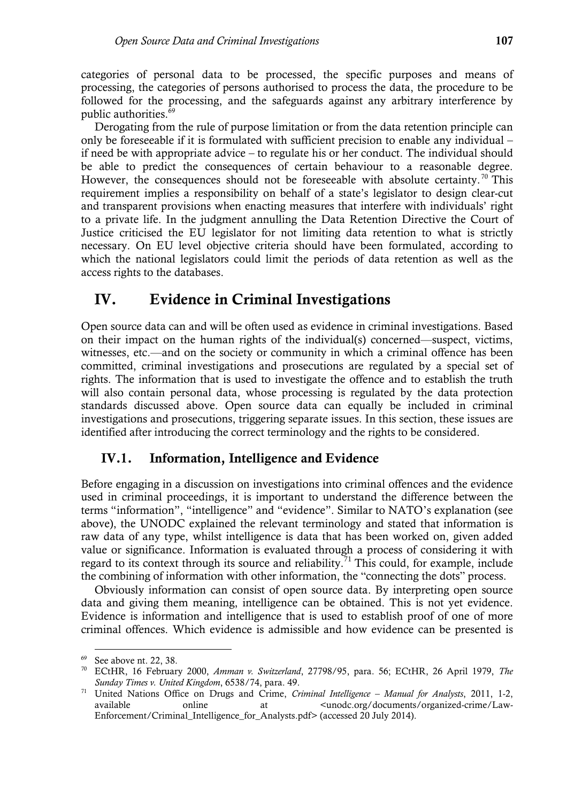categories of personal data to be processed, the specific purposes and means of processing, the categories of persons authorised to process the data, the procedure to be followed for the processing, and the safeguards against any arbitrary interference by public authorities.<sup>69</sup>

Derogating from the rule of purpose limitation or from the data retention principle can only be foreseeable if it is formulated with sufficient precision to enable any individual – if need be with appropriate advice – to regulate his or her conduct. The individual should be able to predict the consequences of certain behaviour to a reasonable degree. However, the consequences should not be foreseeable with absolute certainty.<sup>70</sup> This requirement implies a responsibility on behalf of a state's legislator to design clear-cut and transparent provisions when enacting measures that interfere with individuals' right to a private life. In the judgment annulling the Data Retention Directive the Court of Justice criticised the EU legislator for not limiting data retention to what is strictly necessary. On EU level objective criteria should have been formulated, according to which the national legislators could limit the periods of data retention as well as the access rights to the databases.

# **IV. Evidence in Criminal Investigations**

Open source data can and will be often used as evidence in criminal investigations. Based on their impact on the human rights of the individual(s) concerned—suspect, victims, witnesses, etc.—and on the society or community in which a criminal offence has been committed, criminal investigations and prosecutions are regulated by a special set of rights. The information that is used to investigate the offence and to establish the truth will also contain personal data, whose processing is regulated by the data protection standards discussed above. Open source data can equally be included in criminal investigations and prosecutions, triggering separate issues. In this section, these issues are identified after introducing the correct terminology and the rights to be considered.

## **IV.1. Information, Intelligence and Evidence**

Before engaging in a discussion on investigations into criminal offences and the evidence used in criminal proceedings, it is important to understand the difference between the terms "information", "intelligence" and "evidence". Similar to NATO's explanation (see above), the UNODC explained the relevant terminology and stated that information is raw data of any type, whilst intelligence is data that has been worked on, given added value or significance. Information is evaluated through a process of considering it with regard to its context through its source and reliability.<sup>71</sup> This could, for example, include the combining of information with other information, the "connecting the dots" process.

Obviously information can consist of open source data. By interpreting open source data and giving them meaning, intelligence can be obtained. This is not yet evidence. Evidence is information and intelligence that is used to establish proof of one of more criminal offences. Which evidence is admissible and how evidence can be presented is

<sup>69</sup> See above nt. 22, 38.

<sup>70</sup> ECtHR, 16 February 2000, *Amman v. Switzerland*, 27798/95, para. 56; ECtHR, 26 April 1979, *The Sunday Times v. United Kingdom*, 6538/74, para. 49.

<sup>71</sup> United Nations Office on Drugs and Crime, *Criminal Intelligence – Manual for Analysts*, 2011, 1-2, available online at  $\langle$ unodc.org/documents/organized-crime/Law-Enforcement/Criminal Intelligence for Analysts.pdf> (accessed 20 July 2014).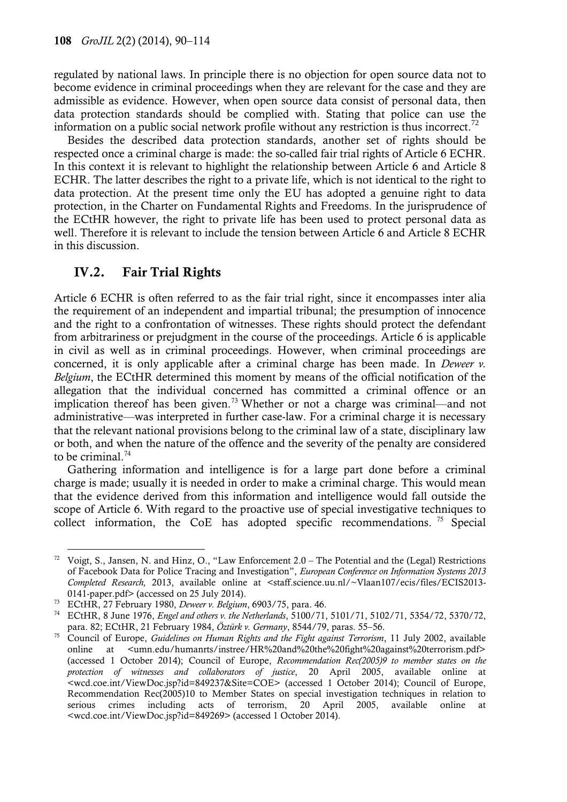regulated by national laws. In principle there is no objection for open source data not to become evidence in criminal proceedings when they are relevant for the case and they are admissible as evidence. However, when open source data consist of personal data, then data protection standards should be complied with. Stating that police can use the information on a public social network profile without any restriction is thus incorrect.<sup>72</sup>

Besides the described data protection standards, another set of rights should be respected once a criminal charge is made: the so-called fair trial rights of Article 6 ECHR. In this context it is relevant to highlight the relationship between Article 6 and Article 8 ECHR. The latter describes the right to a private life, which is not identical to the right to data protection. At the present time only the EU has adopted a genuine right to data protection, in the Charter on Fundamental Rights and Freedoms. In the jurisprudence of the ECtHR however, the right to private life has been used to protect personal data as well. Therefore it is relevant to include the tension between Article 6 and Article 8 ECHR in this discussion.

# **IV.2. Fair Trial Rights**

Article 6 ECHR is often referred to as the fair trial right, since it encompasses inter alia the requirement of an independent and impartial tribunal; the presumption of innocence and the right to a confrontation of witnesses. These rights should protect the defendant from arbitrariness or prejudgment in the course of the proceedings. Article 6 is applicable in civil as well as in criminal proceedings. However, when criminal proceedings are concerned, it is only applicable after a criminal charge has been made. In *Deweer v. Belgium*, the ECtHR determined this moment by means of the official notification of the allegation that the individual concerned has committed a criminal offence or an implication thereof has been given.<sup>73</sup> Whether or not a charge was criminal—and not administrative—was interpreted in further case-law. For a criminal charge it is necessary that the relevant national provisions belong to the criminal law of a state, disciplinary law or both, and when the nature of the offence and the severity of the penalty are considered to be criminal. $74$ 

Gathering information and intelligence is for a large part done before a criminal charge is made; usually it is needed in order to make a criminal charge. This would mean that the evidence derived from this information and intelligence would fall outside the scope of Article 6. With regard to the proactive use of special investigative techniques to collect information, the CoE has adopted specific recommendations.<sup>75</sup> Special

l <sup>72</sup> Voigt, S., Jansen, N. and Hinz, O., "Law Enforcement  $2.0$  – The Potential and the (Legal) Restrictions of Facebook Data for Police Tracing and Investigation", *European Conference on Information Systems 2013 Completed Research,* 2013, available online at <staff.science.uu.nl/~Vlaan107/ecis/files/ECIS2013- 0141-paper.pdf> (accessed on 25 July 2014).

<sup>73</sup> ECtHR, 27 February 1980, *Deweer v. Belgium*, 6903/75, para. 46.

<sup>74</sup> ECtHR, 8 June 1976, *Engel and others v. the Netherlands*, 5100/71, 5101/71, 5102/71, 5354/72, 5370/72, para. 82; ECtHR, 21 February 1984, *Öztürk v. Germany*, 8544/79, paras. 55–56.

<sup>75</sup> Council of Europe, *Guidelines on Human Rights and the Fight against Terrorism*, 11 July 2002, available online at  $\leq$ umn.edu/humanrts/instree/HR%20and%20the%20fight%20against%20terrorism.pdf> (accessed 1 October 2014); Council of Europe, *Recommendation Rec(2005)9 to member states on the protection of witnesses and collaborators of justice*, 20 April 2005, available online at <wcd.coe.int/ViewDoc.jsp?id=849237&Site=COE> (accessed 1 October 2014); Council of Europe, Recommendation Rec(2005)10 to Member States on special investigation techniques in relation to serious crimes including acts of terrorism, 20 April 2005, available online at <wcd.coe.int/ViewDoc.jsp?id=849269> (accessed 1 October 2014).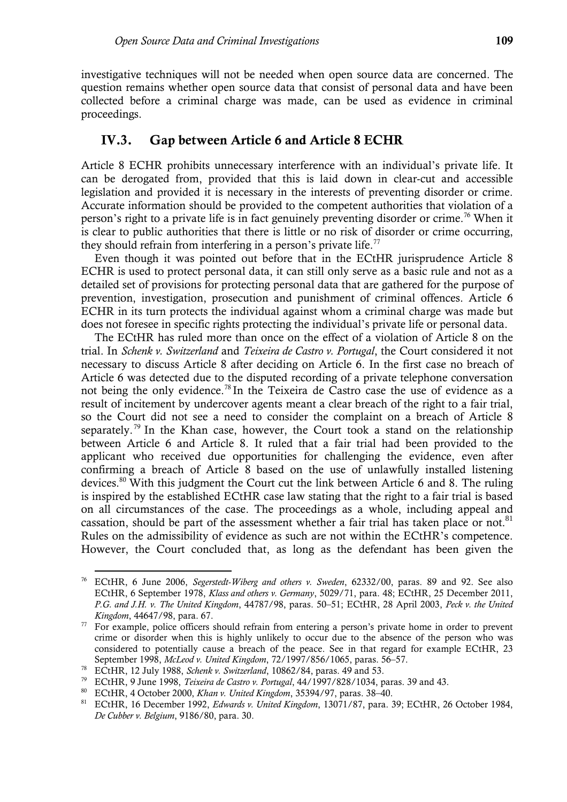investigative techniques will not be needed when open source data are concerned. The question remains whether open source data that consist of personal data and have been collected before a criminal charge was made, can be used as evidence in criminal proceedings.

### **IV.3. Gap between Article 6 and Article 8 ECHR**

Article 8 ECHR prohibits unnecessary interference with an individual's private life. It can be derogated from, provided that this is laid down in clear-cut and accessible legislation and provided it is necessary in the interests of preventing disorder or crime. Accurate information should be provided to the competent authorities that violation of a person's right to a private life is in fact genuinely preventing disorder or crime.<sup>76</sup> When it is clear to public authorities that there is little or no risk of disorder or crime occurring, they should refrain from interfering in a person's private life.<sup>77</sup>

Even though it was pointed out before that in the ECtHR jurisprudence Article 8 ECHR is used to protect personal data, it can still only serve as a basic rule and not as a detailed set of provisions for protecting personal data that are gathered for the purpose of prevention, investigation, prosecution and punishment of criminal offences. Article 6 ECHR in its turn protects the individual against whom a criminal charge was made but does not foresee in specific rights protecting the individual's private life or personal data.

The ECtHR has ruled more than once on the effect of a violation of Article 8 on the trial. In *Schenk v. Switzerland* and *Teixeira de Castro v. Portugal*, the Court considered it not necessary to discuss Article 8 after deciding on Article 6. In the first case no breach of Article 6 was detected due to the disputed recording of a private telephone conversation not being the only evidence.<sup>78</sup> In the Teixeira de Castro case the use of evidence as a result of incitement by undercover agents meant a clear breach of the right to a fair trial, so the Court did not see a need to consider the complaint on a breach of Article 8 separately.<sup>79</sup> In the Khan case, however, the Court took a stand on the relationship between Article 6 and Article 8. It ruled that a fair trial had been provided to the applicant who received due opportunities for challenging the evidence, even after confirming a breach of Article 8 based on the use of unlawfully installed listening devices.<sup>80</sup> With this judgment the Court cut the link between Article 6 and 8. The ruling is inspired by the established ECtHR case law stating that the right to a fair trial is based on all circumstances of the case. The proceedings as a whole, including appeal and cassation, should be part of the assessment whether a fair trial has taken place or not.<sup>81</sup> Rules on the admissibility of evidence as such are not within the ECtHR's competence. However, the Court concluded that, as long as the defendant has been given the

 $\overline{a}$ <sup>76</sup> ECtHR, 6 June 2006, *Segerstedt-Wiberg and others v. Sweden*, 62332/00, paras. 89 and 92. See also ECtHR, 6 September 1978, *Klass and others v. Germany*, 5029/71, para. 48; ECtHR, 25 December 2011, *P.G. and J.H. v. The United Kingdom*, 44787/98, paras. 50–51; ECtHR, 28 April 2003, *Peck v. the United Kingdom*, 44647/98, para. 67.

<sup>&</sup>lt;sup>77</sup> For example, police officers should refrain from entering a person's private home in order to prevent crime or disorder when this is highly unlikely to occur due to the absence of the person who was considered to potentially cause a breach of the peace. See in that regard for example ECtHR, 23 September 1998, *McLeod v. United Kingdom*, 72/1997/856/1065, paras. 56–57.

<sup>78</sup> ECtHR, 12 July 1988, *Schenk v. Switzerland*, 10862/84, paras. 49 and 53.

<sup>79</sup> ECtHR, 9 June 1998, *Teixeira de Castro v. Portugal*, 44/1997/828/1034, paras. 39 and 43.

<sup>80</sup> ECtHR, 4 October 2000, *Khan v. United Kingdom*, 35394/97, paras. 38–40.

<sup>81</sup> ECtHR, 16 December 1992, *Edwards v. United Kingdom*, 13071/87, para. 39; ECtHR, 26 October 1984, *De Cubber v. Belgium*, 9186/80, para. 30.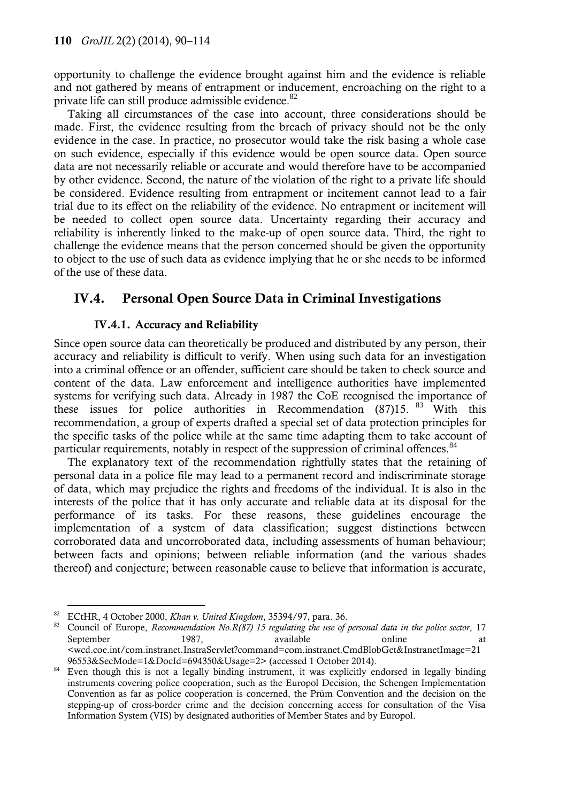opportunity to challenge the evidence brought against him and the evidence is reliable and not gathered by means of entrapment or inducement, encroaching on the right to a private life can still produce admissible evidence.<sup>82</sup>

Taking all circumstances of the case into account, three considerations should be made. First, the evidence resulting from the breach of privacy should not be the only evidence in the case. In practice, no prosecutor would take the risk basing a whole case on such evidence, especially if this evidence would be open source data. Open source data are not necessarily reliable or accurate and would therefore have to be accompanied by other evidence. Second, the nature of the violation of the right to a private life should be considered. Evidence resulting from entrapment or incitement cannot lead to a fair trial due to its effect on the reliability of the evidence. No entrapment or incitement will be needed to collect open source data. Uncertainty regarding their accuracy and reliability is inherently linked to the make-up of open source data. Third, the right to challenge the evidence means that the person concerned should be given the opportunity to object to the use of such data as evidence implying that he or she needs to be informed of the use of these data.

# **IV.4. Personal Open Source Data in Criminal Investigations**

### **IV.4.1. Accuracy and Reliability**

Since open source data can theoretically be produced and distributed by any person, their accuracy and reliability is difficult to verify. When using such data for an investigation into a criminal offence or an offender, sufficient care should be taken to check source and content of the data. Law enforcement and intelligence authorities have implemented systems for verifying such data. Already in 1987 the CoE recognised the importance of these issues for police authorities in Recommendation  $(87)15$ .  $83$  With this recommendation, a group of experts drafted a special set of data protection principles for the specific tasks of the police while at the same time adapting them to take account of particular requirements, notably in respect of the suppression of criminal offences.<sup>84</sup>

The explanatory text of the recommendation rightfully states that the retaining of personal data in a police file may lead to a permanent record and indiscriminate storage of data, which may prejudice the rights and freedoms of the individual. It is also in the interests of the police that it has only accurate and reliable data at its disposal for the performance of its tasks. For these reasons, these guidelines encourage the implementation of a system of data classification; suggest distinctions between corroborated data and uncorroborated data, including assessments of human behaviour; between facts and opinions; between reliable information (and the various shades thereof) and conjecture; between reasonable cause to believe that information is accurate,

 $\overline{a}$ <sup>82</sup> ECtHR, 4 October 2000, *Khan v. United Kingdom*, 35394/97, para. 36.

<sup>83</sup> Council of Europe, *Recommendation No.R(87) 15 regulating the use of personal data in the police sector*, 17 September 1987, available online at <wcd.coe.int/com.instranet.InstraServlet?command=com.instranet.CmdBlobGet&InstranetImage=21 96553&SecMode=1&DocId=694350&Usage=2> (accessed 1 October 2014).

<sup>&</sup>lt;sup>84</sup> Even though this is not a legally binding instrument, it was explicitly endorsed in legally binding instruments covering police cooperation, such as the Europol Decision, the Schengen Implementation Convention as far as police cooperation is concerned, the Prüm Convention and the decision on the stepping-up of cross-border crime and the decision concerning access for consultation of the Visa Information System (VIS) by designated authorities of Member States and by Europol.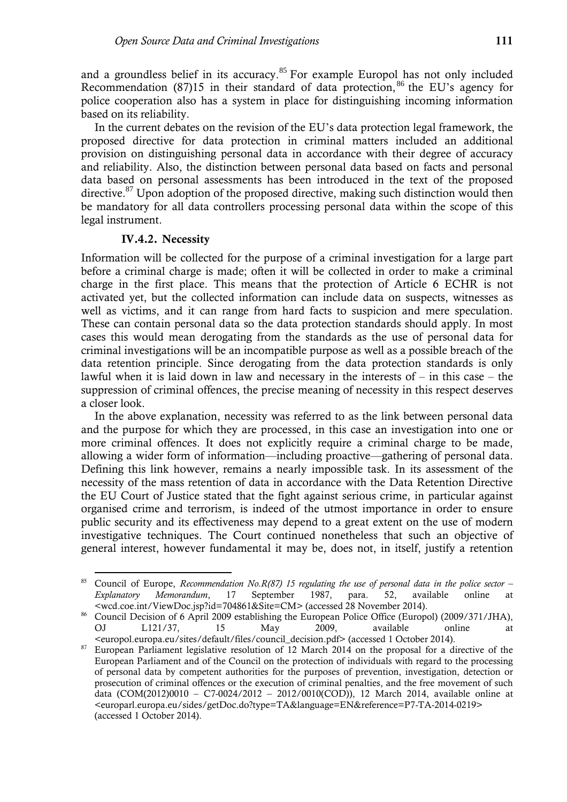and a groundless belief in its accuracy.<sup>85</sup> For example Europol has not only included Recommendation (87)15 in their standard of data protection, <sup>86</sup> the EU's agency for police cooperation also has a system in place for distinguishing incoming information based on its reliability.

In the current debates on the revision of the EU's data protection legal framework, the proposed directive for data protection in criminal matters included an additional provision on distinguishing personal data in accordance with their degree of accuracy and reliability. Also, the distinction between personal data based on facts and personal data based on personal assessments has been introduced in the text of the proposed directive.<sup>87</sup> Upon adoption of the proposed directive, making such distinction would then be mandatory for all data controllers processing personal data within the scope of this legal instrument.

#### **IV.4.2. Necessity**

 $\overline{a}$ 

Information will be collected for the purpose of a criminal investigation for a large part before a criminal charge is made; often it will be collected in order to make a criminal charge in the first place. This means that the protection of Article 6 ECHR is not activated yet, but the collected information can include data on suspects, witnesses as well as victims, and it can range from hard facts to suspicion and mere speculation. These can contain personal data so the data protection standards should apply. In most cases this would mean derogating from the standards as the use of personal data for criminal investigations will be an incompatible purpose as well as a possible breach of the data retention principle. Since derogating from the data protection standards is only lawful when it is laid down in law and necessary in the interests of  $-$  in this case  $-$  the suppression of criminal offences, the precise meaning of necessity in this respect deserves a closer look.

In the above explanation, necessity was referred to as the link between personal data and the purpose for which they are processed, in this case an investigation into one or more criminal offences. It does not explicitly require a criminal charge to be made, allowing a wider form of information—including proactive—gathering of personal data. Defining this link however, remains a nearly impossible task. In its assessment of the necessity of the mass retention of data in accordance with the Data Retention Directive the EU Court of Justice stated that the fight against serious crime, in particular against organised crime and terrorism, is indeed of the utmost importance in order to ensure public security and its effectiveness may depend to a great extent on the use of modern investigative techniques. The Court continued nonetheless that such an objective of general interest, however fundamental it may be, does not, in itself, justify a retention

<sup>85</sup> Council of Europe, *Recommendation No.R(87) 15 regulating the use of personal data in the police sector – Explanatory Memorandum*, 17 September 1987, para. 52, available online at <wcd.coe.int/ViewDoc.jsp?id=704861&Site=CM> (accessed 28 November 2014).

<sup>&</sup>lt;sup>86</sup> Council Decision of 6 April 2009 establishing the European Police Office (Europol) (2009/371/JHA), OJ L121/37, 15 May 2009, available online at <europol.europa.eu/sites/default/files/council\_decision.pdf> (accessed 1 October 2014).

<sup>&</sup>lt;sup>87</sup> European Parliament legislative resolution of 12 March 2014 on the proposal for a directive of the European Parliament and of the Council on the protection of individuals with regard to the processing of personal data by competent authorities for the purposes of prevention, investigation, detection or prosecution of criminal offences or the execution of criminal penalties, and the free movement of such data [\(COM\(2012\)0010](http://ec.europa.eu/prelex/liste_resultats.cfm?cl=en&reqid=0&doctype=com&docyear=2012&docnum=0010) – C7-0024/2012 – [2012/0010\(COD\)\)](http://www.europarl.europa.eu/oeil/popups/ficheprocedure.do?lang=en&reference=2012/0010%2528cod%2529), 12 March 2014, available online at <europarl.europa.eu/sides/getDoc.do?type=TA&language=EN&reference=P7-TA-2014-0219> (accessed 1 October 2014).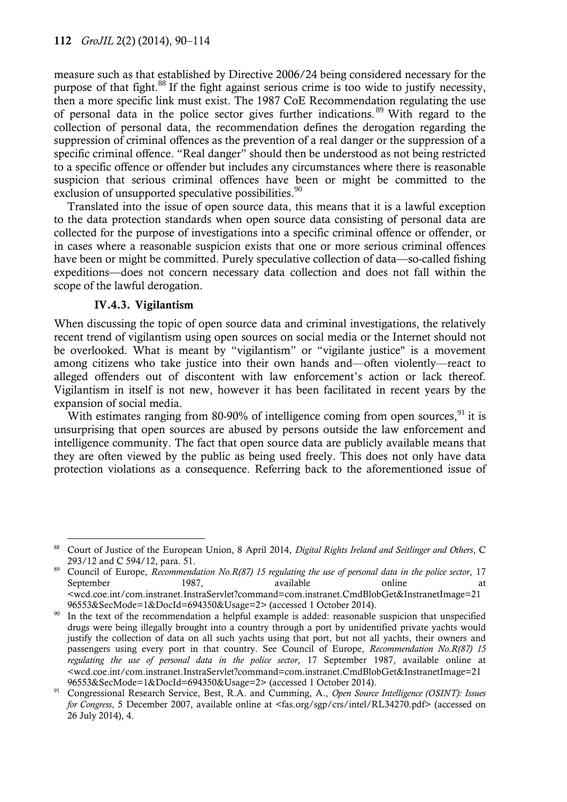measure such as that established by Directive 2006/24 being considered necessary for the purpose of that fight.<sup>88</sup> If the fight against serious crime is too wide to justify necessity, then a more specific link must exist. The 1987 CoE Recommendation regulating the use of personal data in the police sector gives further indications. <sup>89</sup> With regard to the collection of personal data, the recommendation defines the derogation regarding the suppression of criminal offences as the prevention of a real danger or the suppression of a specific criminal offence. "Real danger" should then be understood as not being restricted to a specific offence or offender but includes any circumstances where there is reasonable suspicion that serious criminal offences have been or might be committed to the exclusion of unsupported speculative possibilities.<sup>90</sup>

Translated into the issue of open source data, this means that it is a lawful exception to the data protection standards when open source data consisting of personal data are collected for the purpose of investigations into a specific criminal offence or offender, or in cases where a reasonable suspicion exists that one or more serious criminal offences have been or might be committed. Purely speculative collection of data—so-called fishing expeditions—does not concern necessary data collection and does not fall within the scope of the lawful derogation.

#### **IV.4.3. Vigilantism**

When discussing the topic of open source data and criminal investigations, the relatively recent trend of vigilantism using open sources on social media or the Internet should not be overlooked. What is meant by "vigilantism" or "vigilante justice" is a movement among citizens who take justice into their own hands and—often violently—react to alleged offenders out of discontent with law enforcement's action or lack thereof. Vigilantism in itself is not new, however it has been facilitated in recent years by the expansion of social media.

With estimates ranging from 80-90% of intelligence coming from open sources,  $91$  it is unsurprising that open sources are abused by persons outside the law enforcement and intelligence community. The fact that open source data are publicly available means that they are often viewed by the public as being used freely. This does not only have data protection violations as a consequence. Referring back to the aforementioned issue of

 $\overline{a}$ <sup>88</sup> Court of Justice of the European Union, 8 April 2014, *Digital Rights Ireland and Seitlinger and Others*, C 293/12 and C 594/12, para. 51.

<sup>89</sup> Council of Europe, *Recommendation No.R(87) 15 regulating the use of personal data in the police sector*, 17 September 1987, available online at <wcd.coe.int/com.instranet.InstraServlet?command=com.instranet.CmdBlobGet&InstranetImage=21

<sup>96553&</sup>amp;SecMode=1&DocId=694350&Usage=2> (accessed 1 October 2014). In the text of the recommendation a helpful example is added: reasonable suspicion that unspecified drugs were being illegally brought into a country through a port by unidentified private yachts would justify the collection of data on all such yachts using that port, but not all yachts, their owners and passengers using every port in that country. See Council of Europe, *Recommendation No.R(87) 15 regulating the use of personal data in the police sector*, 17 September 1987, available online at <wcd.coe.int/com.instranet.InstraServlet?command=com.instranet.CmdBlobGet&InstranetImage=21 96553&SecMode=1&DocId=694350&Usage=2> (accessed 1 October 2014).

<sup>91</sup> Congressional Research Service, Best, R.A. and Cumming, A., *Open Source Intelligence (OSINT): Issues for Congress*, 5 December 2007, available online at <fas.org/sgp/crs/intel/RL34270.pdf> (accessed on 26 July 2014), 4.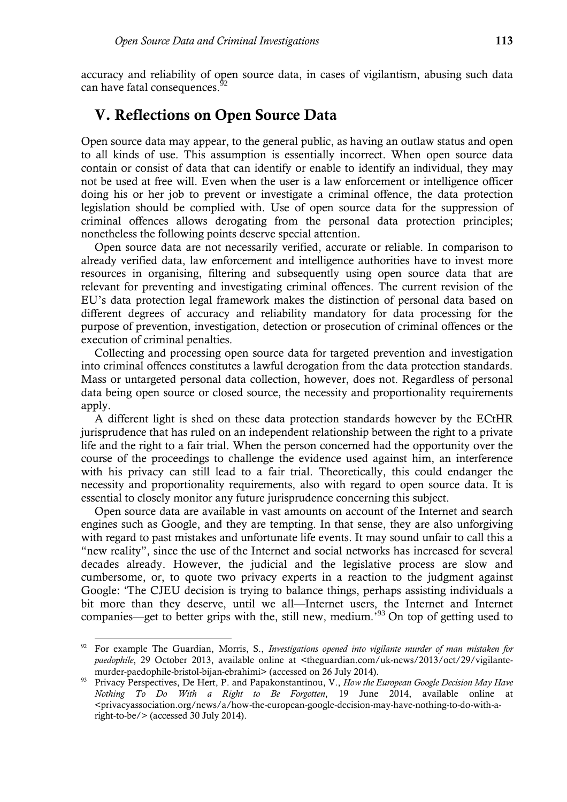accuracy and reliability of open source data, in cases of vigilantism, abusing such data can have fatal consequences.<sup>92</sup>

# **V. Reflections on Open Source Data**

Open source data may appear, to the general public, as having an outlaw status and open to all kinds of use. This assumption is essentially incorrect. When open source data contain or consist of data that can identify or enable to identify an individual, they may not be used at free will. Even when the user is a law enforcement or intelligence officer doing his or her job to prevent or investigate a criminal offence, the data protection legislation should be complied with. Use of open source data for the suppression of criminal offences allows derogating from the personal data protection principles; nonetheless the following points deserve special attention.

Open source data are not necessarily verified, accurate or reliable. In comparison to already verified data, law enforcement and intelligence authorities have to invest more resources in organising, filtering and subsequently using open source data that are relevant for preventing and investigating criminal offences. The current revision of the EU's data protection legal framework makes the distinction of personal data based on different degrees of accuracy and reliability mandatory for data processing for the purpose of prevention, investigation, detection or prosecution of criminal offences or the execution of criminal penalties.

Collecting and processing open source data for targeted prevention and investigation into criminal offences constitutes a lawful derogation from the data protection standards. Mass or untargeted personal data collection, however, does not. Regardless of personal data being open source or closed source, the necessity and proportionality requirements apply.

A different light is shed on these data protection standards however by the ECtHR jurisprudence that has ruled on an independent relationship between the right to a private life and the right to a fair trial. When the person concerned had the opportunity over the course of the proceedings to challenge the evidence used against him, an interference with his privacy can still lead to a fair trial. Theoretically, this could endanger the necessity and proportionality requirements, also with regard to open source data. It is essential to closely monitor any future jurisprudence concerning this subject.

Open source data are available in vast amounts on account of the Internet and search engines such as Google, and they are tempting. In that sense, they are also unforgiving with regard to past mistakes and unfortunate life events. It may sound unfair to call this a "new reality", since the use of the Internet and social networks has increased for several decades already. However, the judicial and the legislative process are slow and cumbersome, or, to quote two privacy experts in a reaction to the judgment against Google: 'The CJEU decision is trying to balance things, perhaps assisting individuals a bit more than they deserve, until we all—Internet users, the Internet and Internet companies—get to better grips with the, still new, medium.<sup>'93</sup> On top of getting used to

<sup>92</sup> For example The Guardian, Morris, S., *Investigations opened into vigilante murder of man mistaken for paedophile*, 29 October 2013, available online at <theguardian.com/uk-news/2013/oct/29/vigilantemurder-paedophile-bristol-bijan-ebrahimi> (accessed on 26 July 2014).

<sup>93</sup> Privacy Perspectives, De Hert, P. and Papakonstantinou, V., *How the European Google Decision May Have Nothing To Do With a Right to Be Forgotten*, 19 June 2014, available online at <privacyassociation.org/news/a/how-the-european-google-decision-may-have-nothing-to-do-with-aright-to-be/> (accessed 30 July 2014).